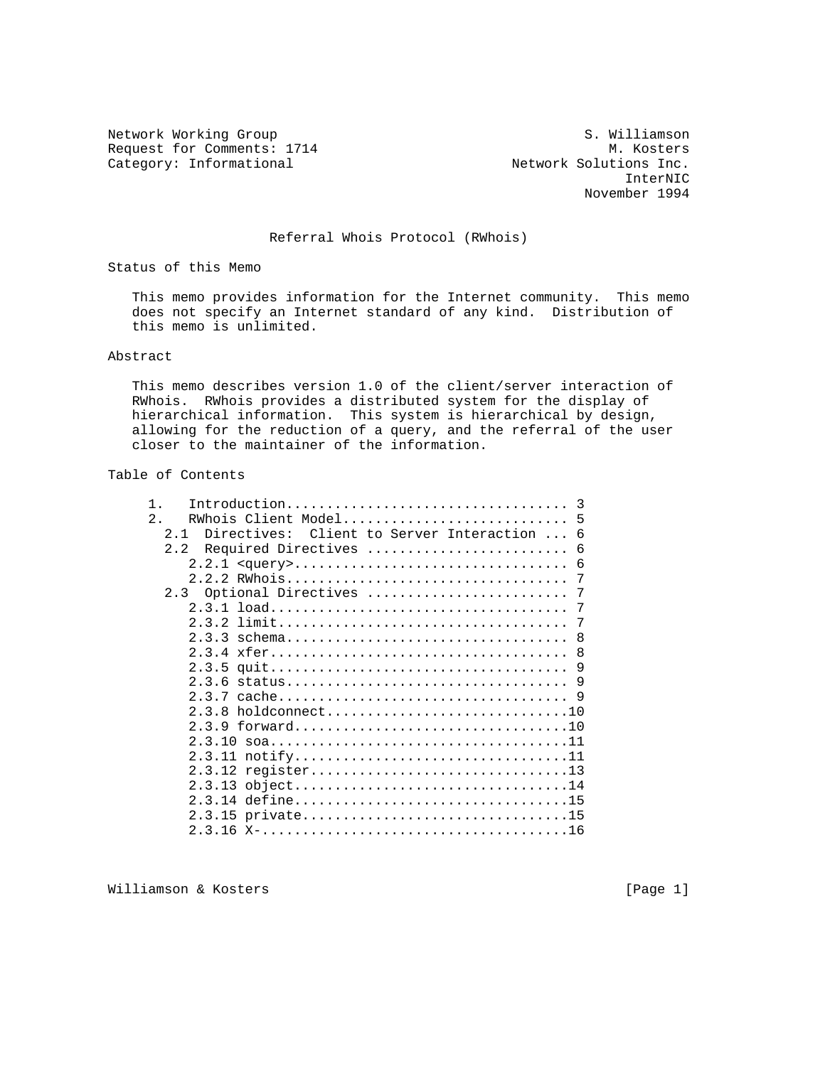Request for Comments: 1714 M. Kosters<br>Category: Informational Metwork Solutions Inc.

Network Working Group S. Williamson Category: Informational Network Solutions Inc.<br>InterNIC InterNIC November 1994

## Referral Whois Protocol (RWhois)

Status of this Memo

 This memo provides information for the Internet community. This memo does not specify an Internet standard of any kind. Distribution of this memo is unlimited.

## Abstract

 This memo describes version 1.0 of the client/server interaction of RWhois. RWhois provides a distributed system for the display of hierarchical information. This system is hierarchical by design, allowing for the reduction of a query, and the referral of the user closer to the maintainer of the information.

## Table of Contents

| $\mathbf{1}$ |                                                  |
|--------------|--------------------------------------------------|
| 2.           |                                                  |
| 2.1          | Directives: Client to Server Interaction  6      |
| 2.2          | Required Directives  6                           |
|              |                                                  |
|              |                                                  |
|              |                                                  |
|              |                                                  |
|              |                                                  |
|              |                                                  |
|              |                                                  |
|              |                                                  |
|              |                                                  |
|              |                                                  |
|              | $h$ oldconnect10<br>2.3.8                        |
|              | 2.3.9 forward10                                  |
|              |                                                  |
|              | 2.3.11 notify11                                  |
|              | 2.3.12 register13                                |
|              | 2.3.13 object14                                  |
|              | 2.3.14                                  define15 |
|              | 2.3.15 private15                                 |
|              |                                                  |

Williamson & Kosters [Page 1]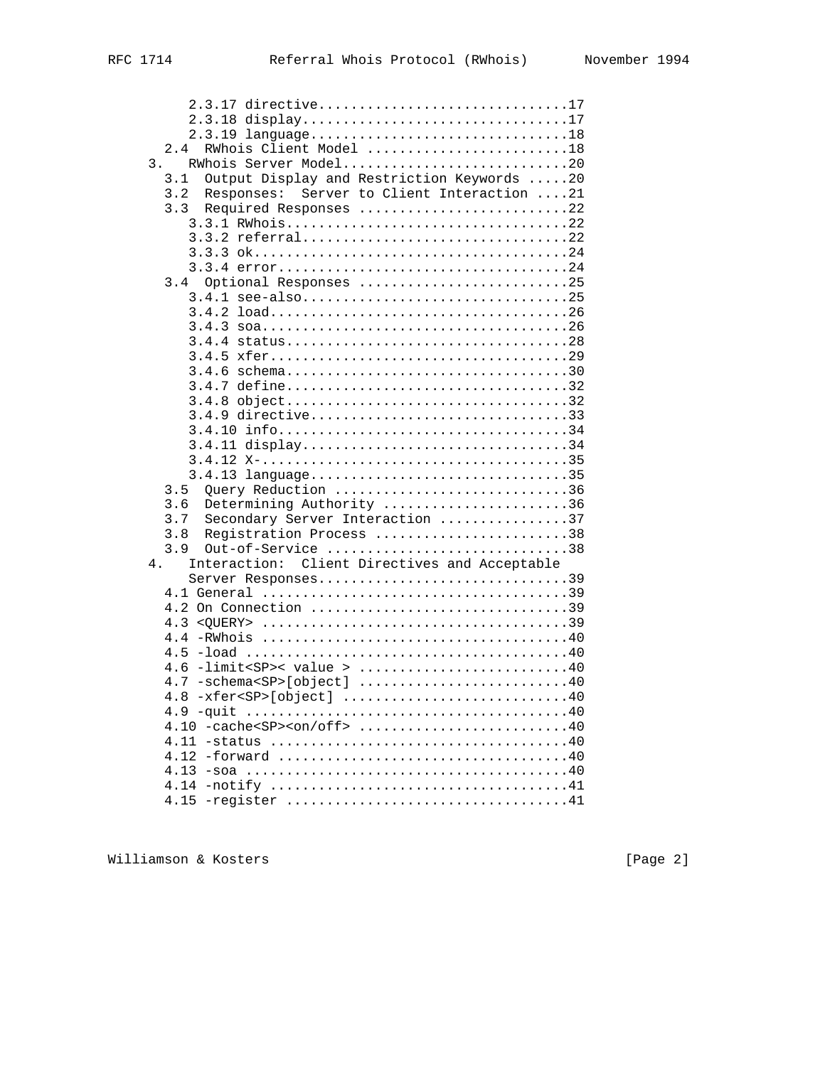| 2.3.17 directive17                                                                                             |
|----------------------------------------------------------------------------------------------------------------|
| 2.3.18 display17                                                                                               |
| 2.3.19 language18                                                                                              |
| RWhois Client Model 18<br>2.4                                                                                  |
| RWhois Server Model20<br>3.                                                                                    |
| Output Display and Restriction Keywords 20<br>3.1                                                              |
| Responses: Server to Client Interaction 21<br>3.2                                                              |
| 3.3<br>Required Responses 22                                                                                   |
| 3.3.1 RWhois22                                                                                                 |
|                                                                                                                |
|                                                                                                                |
|                                                                                                                |
| Optional Responses 25<br>3.4                                                                                   |
| 3.4.1 see-also25                                                                                               |
|                                                                                                                |
|                                                                                                                |
|                                                                                                                |
|                                                                                                                |
|                                                                                                                |
|                                                                                                                |
|                                                                                                                |
| 3.4.8 object32                                                                                                 |
| 3.4.9 directive33                                                                                              |
|                                                                                                                |
| 3.4.11 display34                                                                                               |
|                                                                                                                |
| 3.4.13 language35                                                                                              |
| Query Reduction 36<br>3.5                                                                                      |
| Determining Authority 36<br>3.6                                                                                |
| Secondary Server Interaction 37<br>3.7                                                                         |
| Registration Process 38<br>3.8                                                                                 |
| 3.9<br>Out-of-Service 38                                                                                       |
| Interaction: Client Directives and Acceptable<br>4.                                                            |
| Server Responses39                                                                                             |
|                                                                                                                |
| 4.2 On Connection 39                                                                                           |
| 4.3                                                                                                            |
|                                                                                                                |
| 4.5                                                                                                            |
| $-limits$ sP>< value > 40<br>4.6                                                                               |
| $4.7 - \text{schema} < S_P > [\text{object}]$ 40                                                               |
| 4.8                                                                                                            |
|                                                                                                                |
| $4.10 - \text{cache} < \text{SP} > \text{con}/\text{off} > \dots \dots \dots \dots \dots \dots \dots \dots 40$ |
|                                                                                                                |
|                                                                                                                |
| 4.13                                                                                                           |
|                                                                                                                |
|                                                                                                                |
|                                                                                                                |

Williamson & Kosters [Page 2]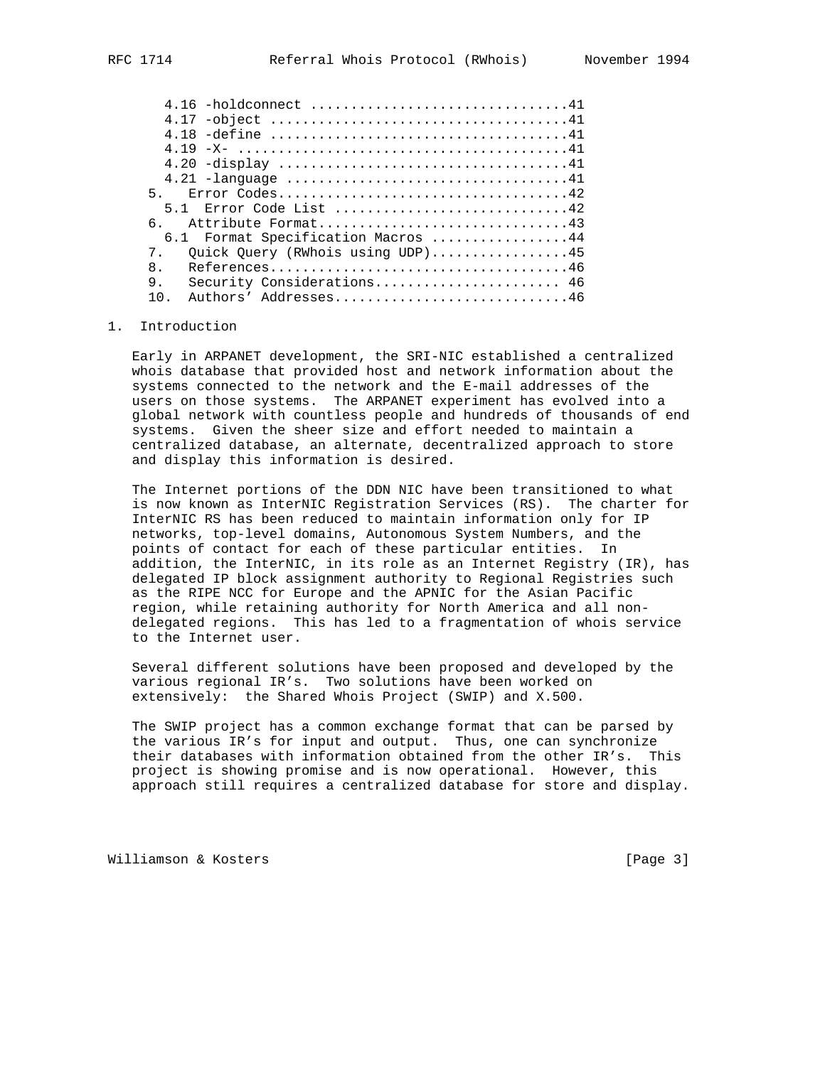| 5 <sub>1</sub>                        |  |
|---------------------------------------|--|
| 5.1 Error Code List 42                |  |
| Attribute Format43<br>$6 -$           |  |
| 6.1 Format Specification Macros 44    |  |
| Quick Query (RWhois using UDP)45<br>7 |  |
| $\mathsf{R}$                          |  |
| 9.<br>Security Considerations 46      |  |
| Authors' Addresses46<br>1 N           |  |
|                                       |  |

#### 1. Introduction

 Early in ARPANET development, the SRI-NIC established a centralized whois database that provided host and network information about the systems connected to the network and the E-mail addresses of the users on those systems. The ARPANET experiment has evolved into a global network with countless people and hundreds of thousands of end systems. Given the sheer size and effort needed to maintain a centralized database, an alternate, decentralized approach to store and display this information is desired.

 The Internet portions of the DDN NIC have been transitioned to what is now known as InterNIC Registration Services (RS). The charter for InterNIC RS has been reduced to maintain information only for IP networks, top-level domains, Autonomous System Numbers, and the points of contact for each of these particular entities. In addition, the InterNIC, in its role as an Internet Registry (IR), has delegated IP block assignment authority to Regional Registries such as the RIPE NCC for Europe and the APNIC for the Asian Pacific region, while retaining authority for North America and all non delegated regions. This has led to a fragmentation of whois service to the Internet user.

 Several different solutions have been proposed and developed by the various regional IR's. Two solutions have been worked on extensively: the Shared Whois Project (SWIP) and X.500.

 The SWIP project has a common exchange format that can be parsed by the various IR's for input and output. Thus, one can synchronize their databases with information obtained from the other IR's. This project is showing promise and is now operational. However, this approach still requires a centralized database for store and display.

Williamson & Kosters [Page 3]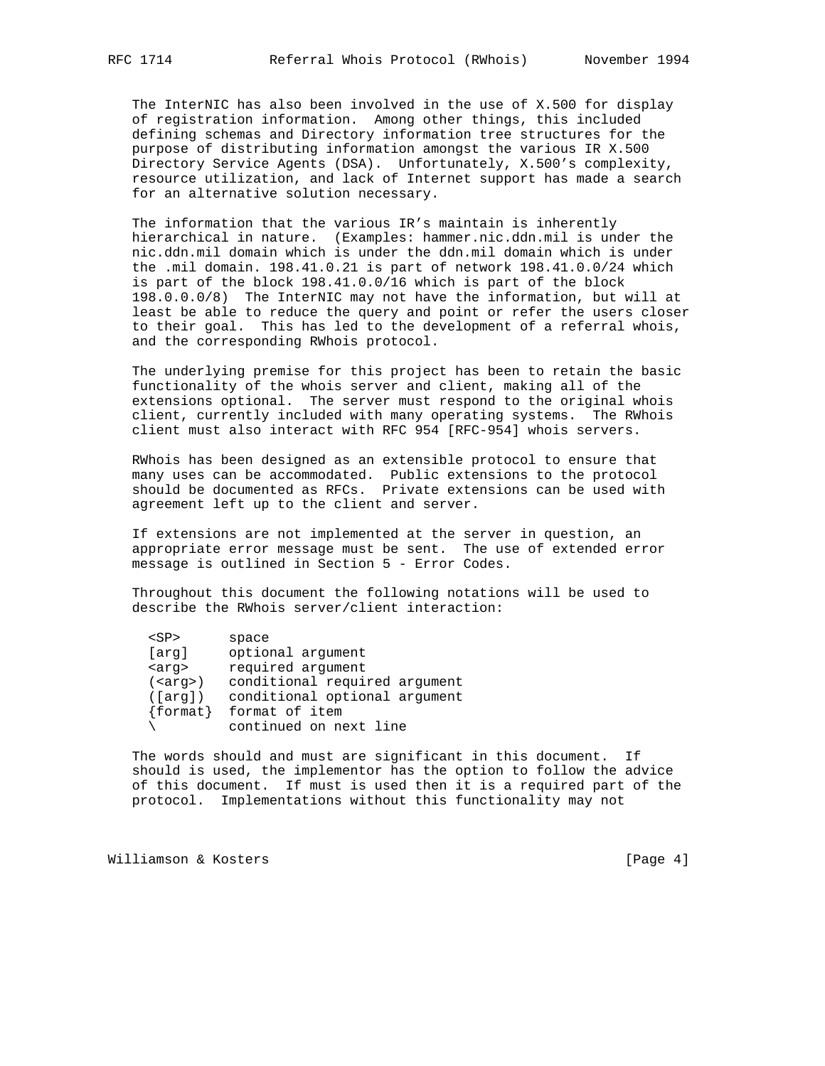The InterNIC has also been involved in the use of X.500 for display of registration information. Among other things, this included defining schemas and Directory information tree structures for the purpose of distributing information amongst the various IR X.500 Directory Service Agents (DSA). Unfortunately, X.500's complexity, resource utilization, and lack of Internet support has made a search for an alternative solution necessary.

 The information that the various IR's maintain is inherently hierarchical in nature. (Examples: hammer.nic.ddn.mil is under the nic.ddn.mil domain which is under the ddn.mil domain which is under the .mil domain. 198.41.0.21 is part of network 198.41.0.0/24 which is part of the block 198.41.0.0/16 which is part of the block 198.0.0.0/8) The InterNIC may not have the information, but will at least be able to reduce the query and point or refer the users closer to their goal. This has led to the development of a referral whois, and the corresponding RWhois protocol.

 The underlying premise for this project has been to retain the basic functionality of the whois server and client, making all of the extensions optional. The server must respond to the original whois client, currently included with many operating systems. The RWhois client must also interact with RFC 954 [RFC-954] whois servers.

 RWhois has been designed as an extensible protocol to ensure that many uses can be accommodated. Public extensions to the protocol should be documented as RFCs. Private extensions can be used with agreement left up to the client and server.

 If extensions are not implemented at the server in question, an appropriate error message must be sent. The use of extended error message is outlined in Section 5 - Error Codes.

 Throughout this document the following notations will be used to describe the RWhois server/client interaction:

| <sp< th=""><th>space</th></sp<> | space                         |
|---------------------------------|-------------------------------|
| [arq]                           | optional argument             |
| <arg></arg>                     | required argument             |
| ( <arg>)</arg>                  | conditional required argument |
| ([arg])                         | conditional optional argument |
| $\{format\}$                    | format of item                |
|                                 | continued on next line        |

 The words should and must are significant in this document. If should is used, the implementor has the option to follow the advice of this document. If must is used then it is a required part of the protocol. Implementations without this functionality may not

Williamson & Kosters [Page 4]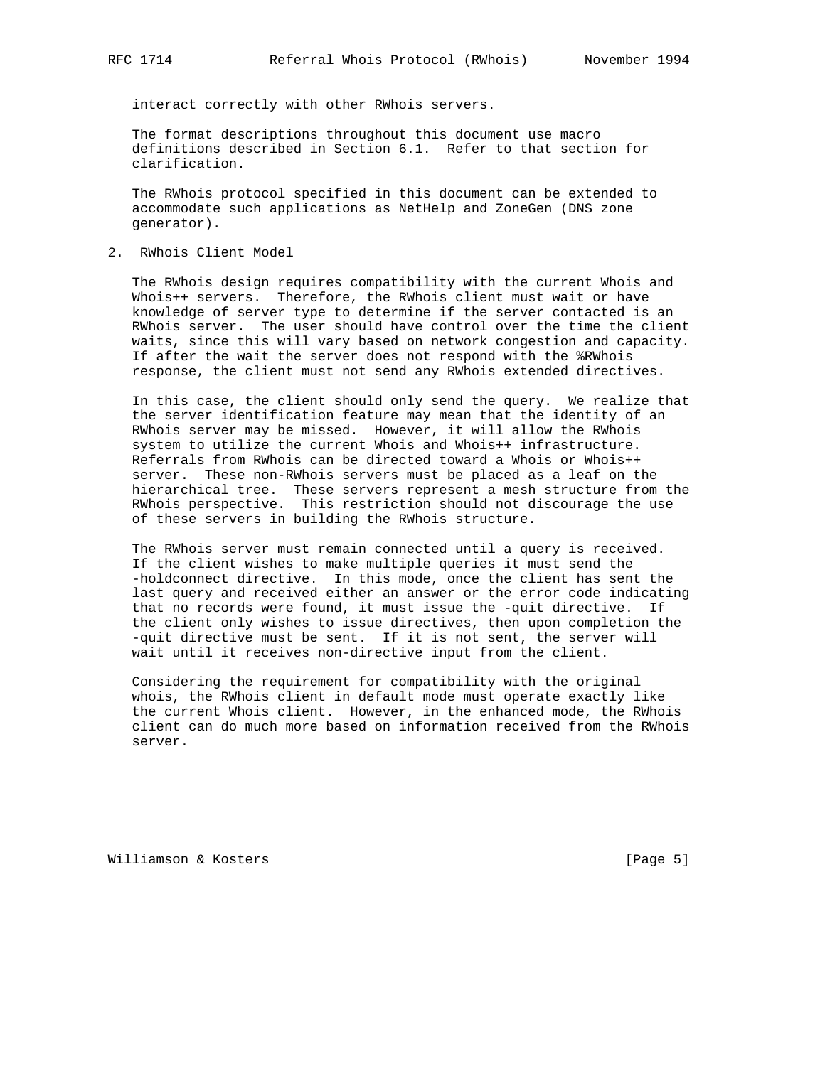interact correctly with other RWhois servers.

 The format descriptions throughout this document use macro definitions described in Section 6.1. Refer to that section for clarification.

 The RWhois protocol specified in this document can be extended to accommodate such applications as NetHelp and ZoneGen (DNS zone generator).

2. RWhois Client Model

 The RWhois design requires compatibility with the current Whois and Whois++ servers. Therefore, the RWhois client must wait or have knowledge of server type to determine if the server contacted is an RWhois server. The user should have control over the time the client waits, since this will vary based on network congestion and capacity. If after the wait the server does not respond with the %RWhois response, the client must not send any RWhois extended directives.

 In this case, the client should only send the query. We realize that the server identification feature may mean that the identity of an RWhois server may be missed. However, it will allow the RWhois system to utilize the current Whois and Whois++ infrastructure. Referrals from RWhois can be directed toward a Whois or Whois++ server. These non-RWhois servers must be placed as a leaf on the hierarchical tree. These servers represent a mesh structure from the RWhois perspective. This restriction should not discourage the use of these servers in building the RWhois structure.

 The RWhois server must remain connected until a query is received. If the client wishes to make multiple queries it must send the -holdconnect directive. In this mode, once the client has sent the last query and received either an answer or the error code indicating that no records were found, it must issue the -quit directive. If the client only wishes to issue directives, then upon completion the -quit directive must be sent. If it is not sent, the server will wait until it receives non-directive input from the client.

 Considering the requirement for compatibility with the original whois, the RWhois client in default mode must operate exactly like the current Whois client. However, in the enhanced mode, the RWhois client can do much more based on information received from the RWhois server.

Williamson & Kosters [Page 5]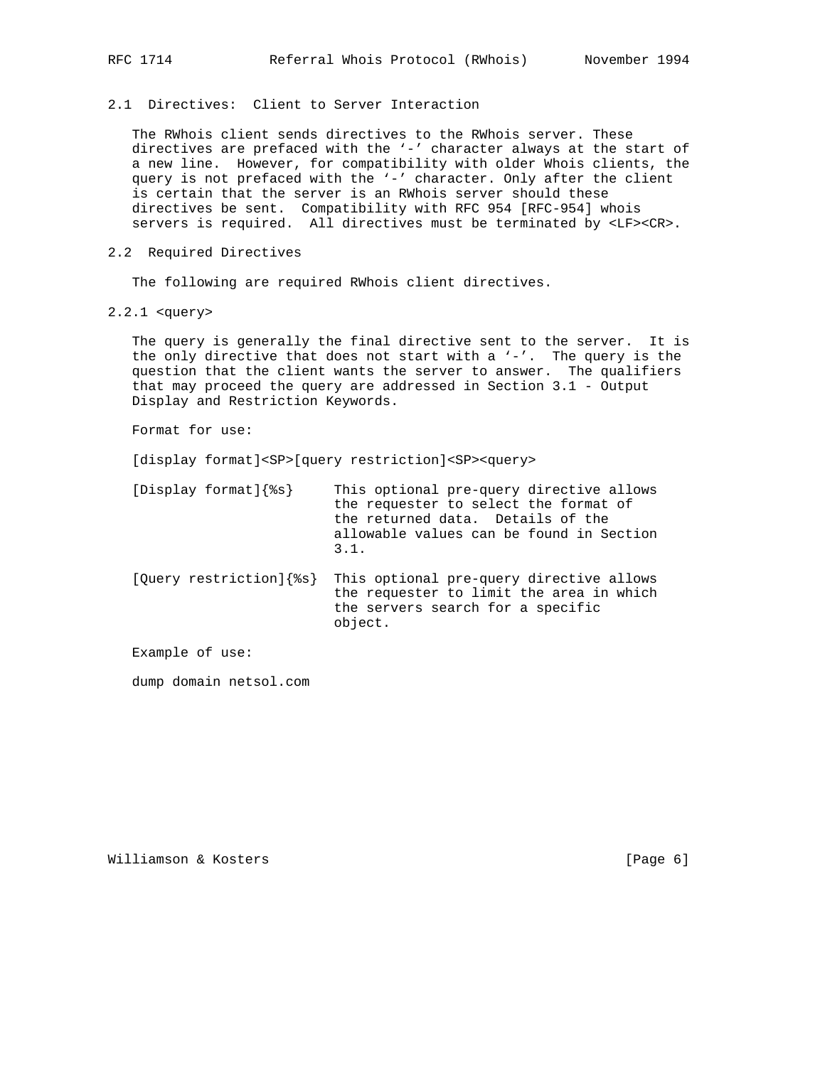2.1 Directives: Client to Server Interaction

 The RWhois client sends directives to the RWhois server. These directives are prefaced with the '-' character always at the start of a new line. However, for compatibility with older Whois clients, the query is not prefaced with the '-' character. Only after the client is certain that the server is an RWhois server should these directives be sent. Compatibility with RFC 954 [RFC-954] whois servers is required. All directives must be terminated by <LF><CR>.

2.2 Required Directives

The following are required RWhois client directives.

2.2.1 <query>

 The query is generally the final directive sent to the server. It is the only directive that does not start with a  $'-'$ . The query is the question that the client wants the server to answer. The qualifiers that may proceed the query are addressed in Section 3.1 - Output Display and Restriction Keywords.

Format for use:

[display format]<SP>[query restriction]<SP><query>

| [Display format] $\{\$s\}$ | This optional pre-query directive allows |
|----------------------------|------------------------------------------|
|                            | the requester to select the format of    |
|                            | the returned data. Details of the        |
|                            | allowable values can be found in Section |
|                            | 3.1.                                     |
|                            |                                          |

 [Query restriction]{%s} This optional pre-query directive allows the requester to limit the area in which the servers search for a specific object.

Example of use:

dump domain netsol.com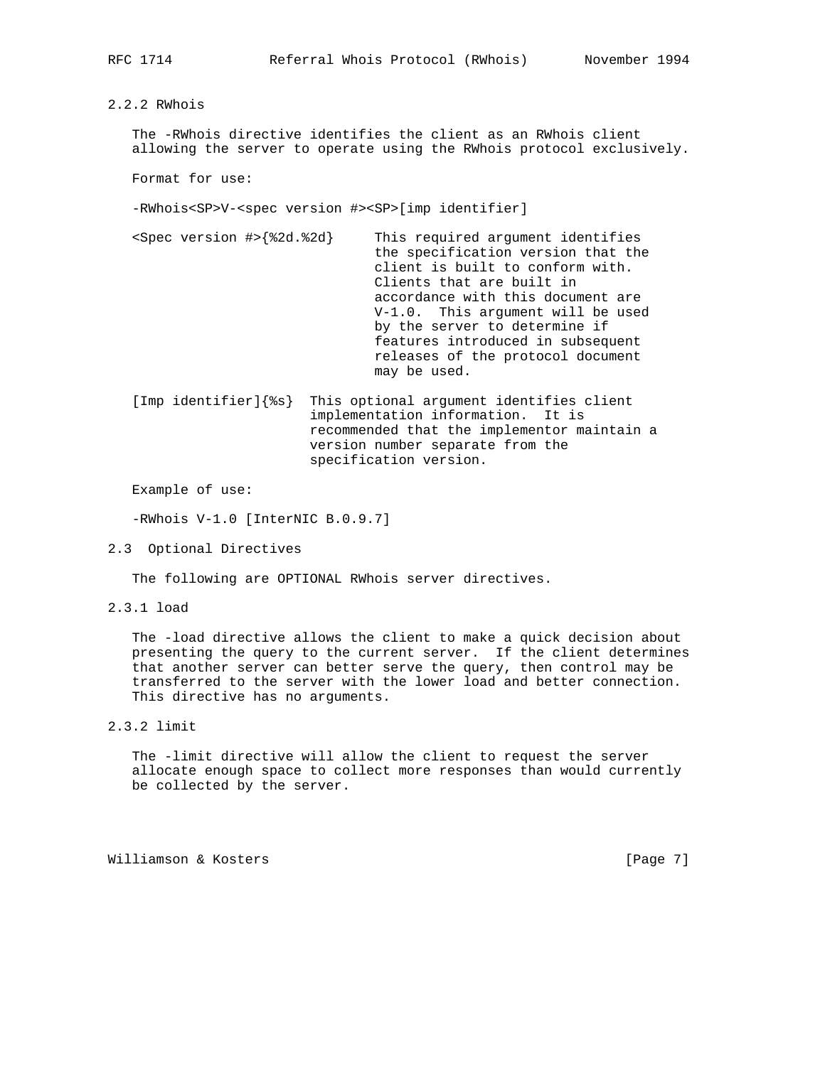2.2.2 RWhois

 The -RWhois directive identifies the client as an RWhois client allowing the server to operate using the RWhois protocol exclusively.

Format for use:

-RWhois<SP>V-<spec version #><SP>[imp identifier]

 <Spec version #>{%2d.%2d} This required argument identifies the specification version that the client is built to conform with. Clients that are built in accordance with this document are V-1.0. This argument will be used by the server to determine if features introduced in subsequent releases of the protocol document may be used.

 [Imp identifier]{%s} This optional argument identifies client implementation information. It is recommended that the implementor maintain a version number separate from the specification version.

Example of use:

-RWhois V-1.0 [InterNIC B.0.9.7]

2.3 Optional Directives

The following are OPTIONAL RWhois server directives.

2.3.1 load

 The -load directive allows the client to make a quick decision about presenting the query to the current server. If the client determines that another server can better serve the query, then control may be transferred to the server with the lower load and better connection. This directive has no arguments.

2.3.2 limit

 The -limit directive will allow the client to request the server allocate enough space to collect more responses than would currently be collected by the server.

Williamson & Kosters [Page 7]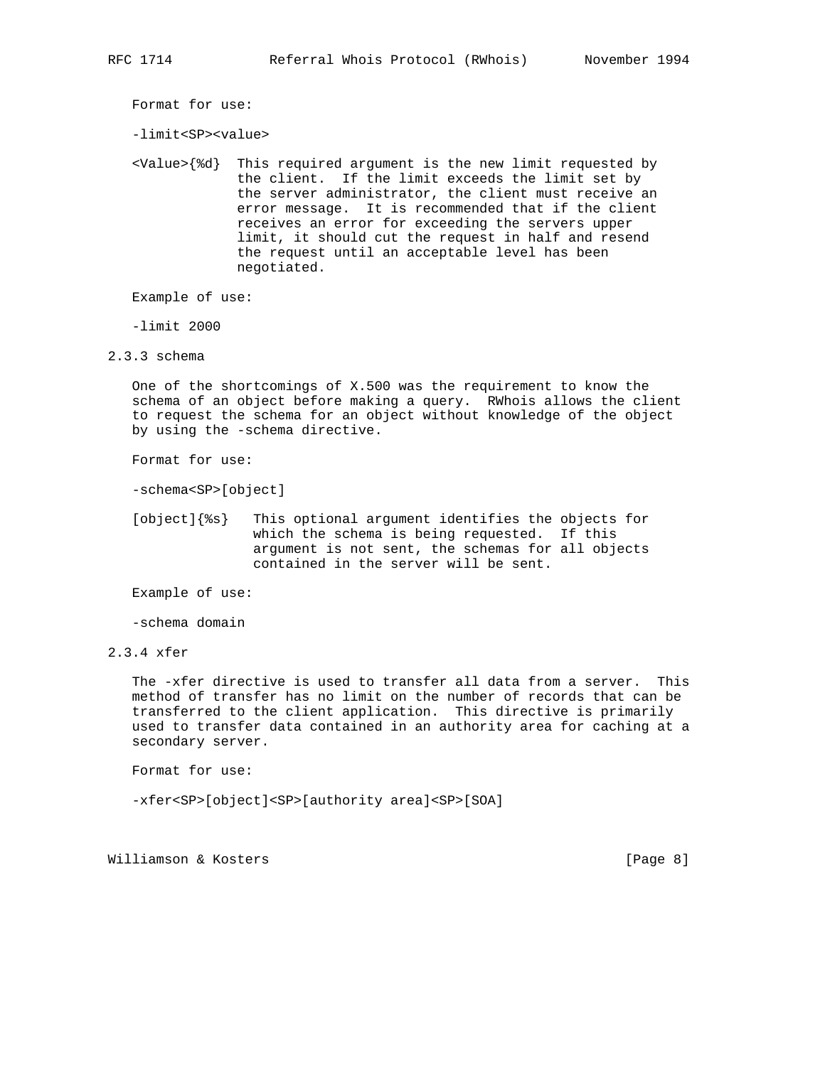Format for use:

-limit<SP><value>

 <Value>{%d} This required argument is the new limit requested by the client. If the limit exceeds the limit set by the server administrator, the client must receive an error message. It is recommended that if the client receives an error for exceeding the servers upper limit, it should cut the request in half and resend the request until an acceptable level has been negotiated.

Example of use:

-limit 2000

2.3.3 schema

 One of the shortcomings of X.500 was the requirement to know the schema of an object before making a query. RWhois allows the client to request the schema for an object without knowledge of the object by using the -schema directive.

Format for use:

-schema<SP>[object]

 [object]{%s} This optional argument identifies the objects for which the schema is being requested. If this argument is not sent, the schemas for all objects contained in the server will be sent.

Example of use:

-schema domain

 The -xfer directive is used to transfer all data from a server. This method of transfer has no limit on the number of records that can be transferred to the client application. This directive is primarily used to transfer data contained in an authority area for caching at a secondary server.

Format for use:

-xfer<SP>[object]<SP>[authority area]<SP>[SOA]

Williamson & Kosters [Page 8]

<sup>2.3.4</sup> xfer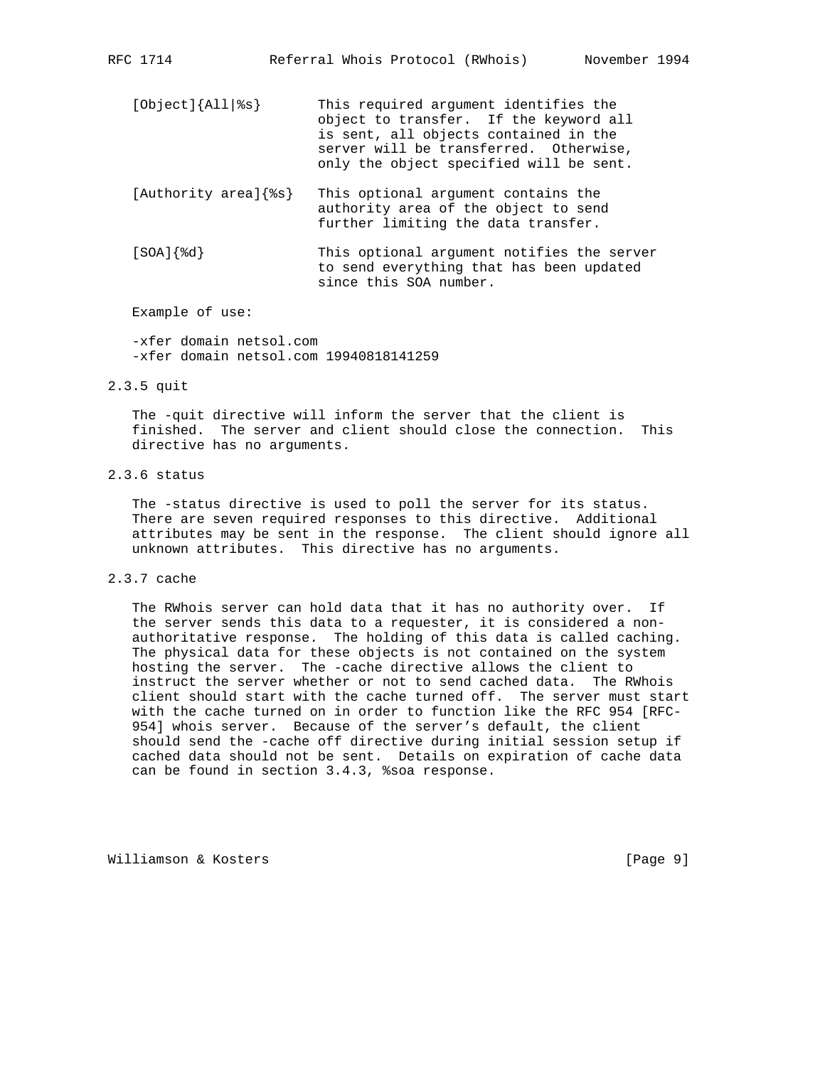- [Object]{All|%s} This required argument identifies the object to transfer. If the keyword all is sent, all objects contained in the server will be transferred. Otherwise, only the object specified will be sent.
- [Authority area]{%s} This optional argument contains the authority area of the object to send further limiting the data transfer.
- [SOA]{%d} This optional argument notifies the server to send everything that has been updated since this SOA number.

 -xfer domain netsol.com -xfer domain netsol.com 19940818141259

2.3.5 quit

 The -quit directive will inform the server that the client is finished. The server and client should close the connection. This directive has no arguments.

## 2.3.6 status

 The -status directive is used to poll the server for its status. There are seven required responses to this directive. Additional attributes may be sent in the response. The client should ignore all unknown attributes. This directive has no arguments.

2.3.7 cache

 The RWhois server can hold data that it has no authority over. If the server sends this data to a requester, it is considered a non authoritative response. The holding of this data is called caching. The physical data for these objects is not contained on the system hosting the server. The -cache directive allows the client to instruct the server whether or not to send cached data. The RWhois client should start with the cache turned off. The server must start with the cache turned on in order to function like the RFC 954 [RFC- 954] whois server. Because of the server's default, the client should send the -cache off directive during initial session setup if cached data should not be sent. Details on expiration of cache data can be found in section 3.4.3, %soa response.

Williamson & Kosters **and South American** Extendion (Page 9)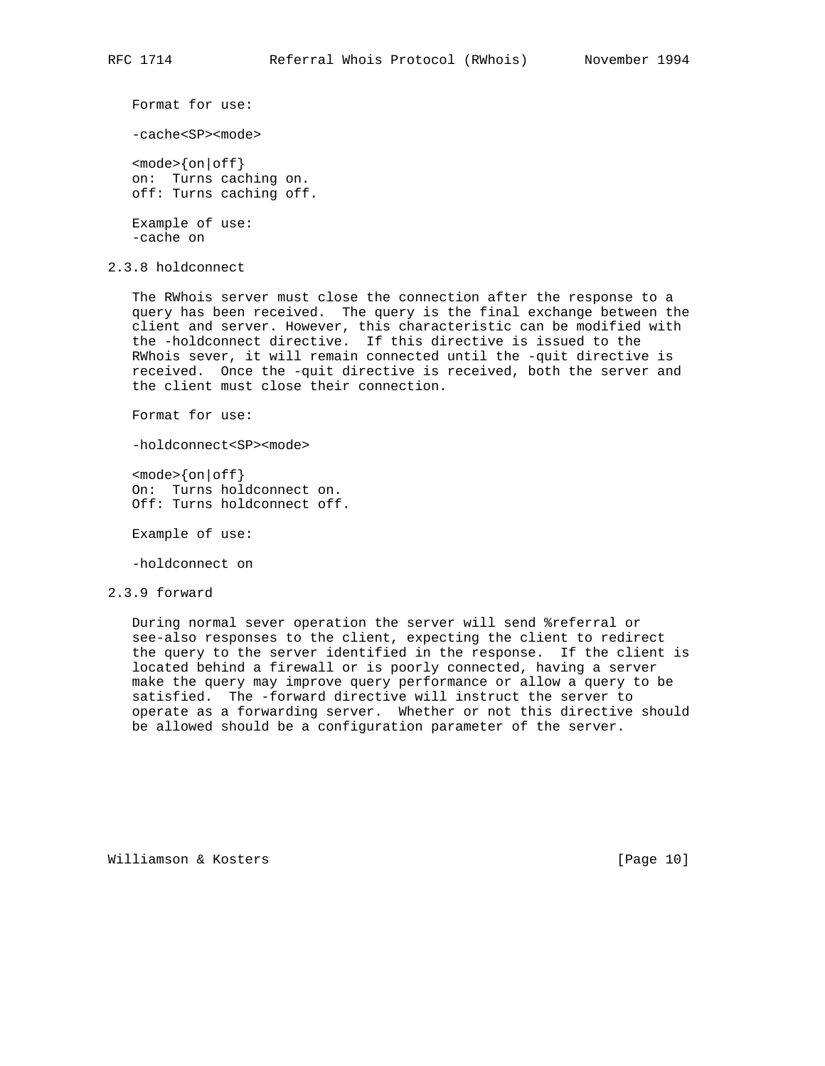Format for use:

-cache<SP><mode>

 <mode>{on|off} on: Turns caching on. off: Turns caching off.

 Example of use: -cache on

2.3.8 holdconnect

 The RWhois server must close the connection after the response to a query has been received. The query is the final exchange between the client and server. However, this characteristic can be modified with the -holdconnect directive. If this directive is issued to the RWhois sever, it will remain connected until the -quit directive is received. Once the -quit directive is received, both the server and the client must close their connection.

Format for use:

-holdconnect<SP><mode>

 $<sub>mode</sub>$   $<sub>for</sub> | off$ </sub></sub> On: Turns holdconnect on. Off: Turns holdconnect off.

Example of use:

-holdconnect on

#### 2.3.9 forward

 During normal sever operation the server will send %referral or see-also responses to the client, expecting the client to redirect the query to the server identified in the response. If the client is located behind a firewall or is poorly connected, having a server make the query may improve query performance or allow a query to be satisfied. The -forward directive will instruct the server to operate as a forwarding server. Whether or not this directive should be allowed should be a configuration parameter of the server.

Williamson & Kosters [Page 10]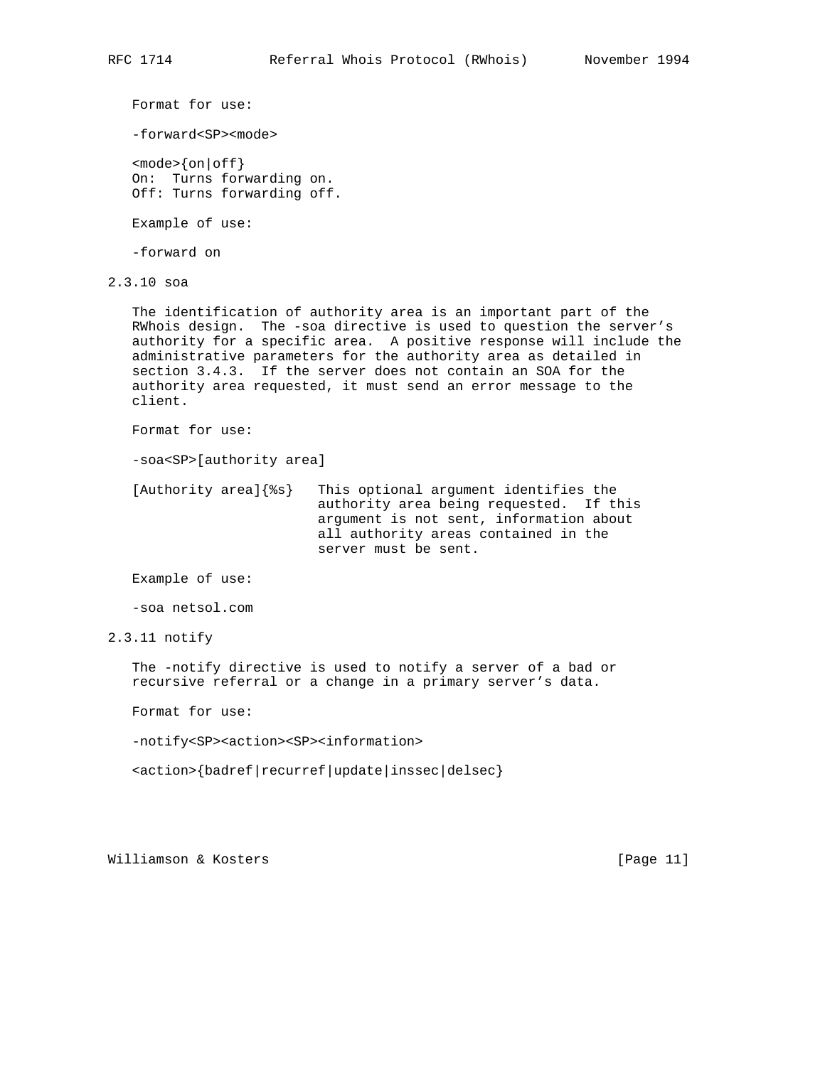Format for use:

-forward<SP><mode>

 $<$ mode> $\{$ on $|$ off $\}$  On: Turns forwarding on. Off: Turns forwarding off.

Example of use:

-forward on

2.3.10 soa

 The identification of authority area is an important part of the RWhois design. The -soa directive is used to question the server's authority for a specific area. A positive response will include the administrative parameters for the authority area as detailed in section 3.4.3. If the server does not contain an SOA for the authority area requested, it must send an error message to the client.

Format for use:

-soa<SP>[authority area]

 [Authority area]{%s} This optional argument identifies the authority area being requested. If this argument is not sent, information about all authority areas contained in the server must be sent.

Example of use:

-soa netsol.com

2.3.11 notify

 The -notify directive is used to notify a server of a bad or recursive referral or a change in a primary server's data.

Format for use:

-notify<SP><action><SP><information>

<action>{badref|recurref|update|inssec|delsec}

Williamson & Kosters [Page 11]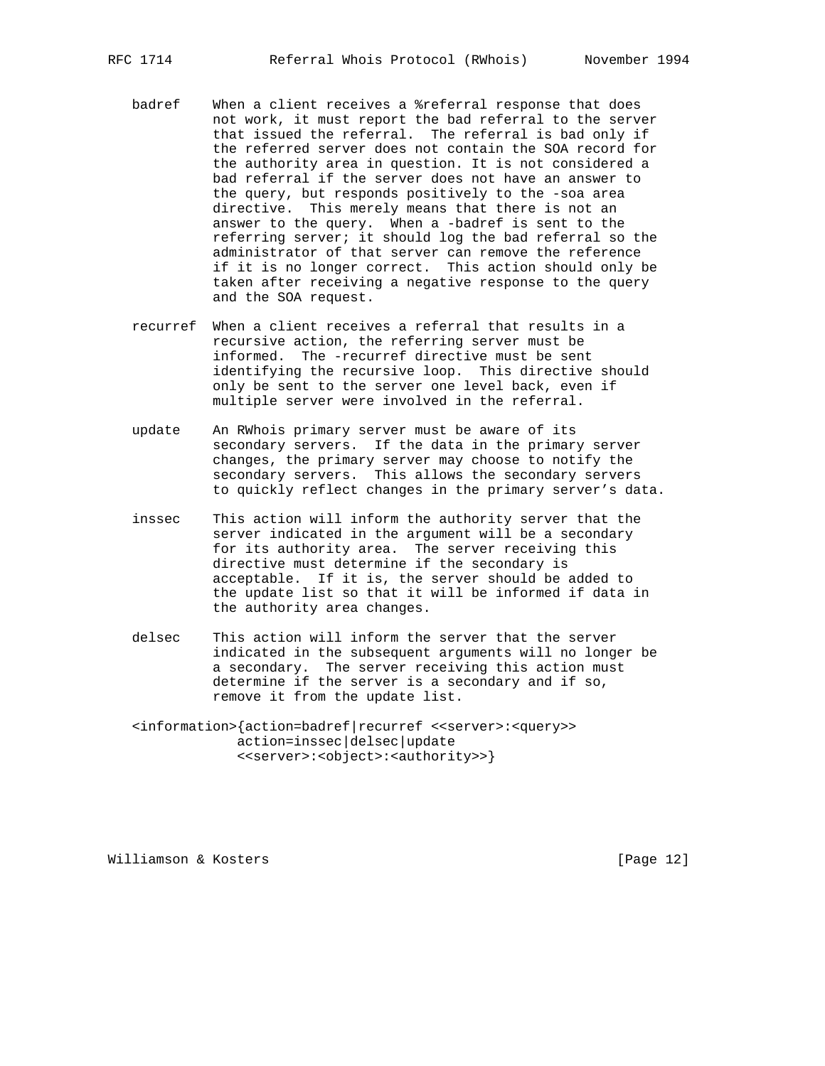- badref When a client receives a %referral response that does not work, it must report the bad referral to the server that issued the referral. The referral is bad only if the referred server does not contain the SOA record for the authority area in question. It is not considered a bad referral if the server does not have an answer to the query, but responds positively to the -soa area directive. This merely means that there is not an answer to the query. When a -badref is sent to the referring server; it should log the bad referral so the administrator of that server can remove the reference if it is no longer correct. This action should only be taken after receiving a negative response to the query and the SOA request.
- recurref When a client receives a referral that results in a recursive action, the referring server must be informed. The -recurref directive must be sent identifying the recursive loop. This directive should only be sent to the server one level back, even if multiple server were involved in the referral.
- update An RWhois primary server must be aware of its secondary servers. If the data in the primary server changes, the primary server may choose to notify the secondary servers. This allows the secondary servers to quickly reflect changes in the primary server's data.
- inssec This action will inform the authority server that the server indicated in the argument will be a secondary for its authority area. The server receiving this directive must determine if the secondary is acceptable. If it is, the server should be added to the update list so that it will be informed if data in the authority area changes.
- delsec This action will inform the server that the server indicated in the subsequent arguments will no longer be a secondary. The server receiving this action must determine if the server is a secondary and if so, remove it from the update list.
- <information>{action=badref|recurref <<server>:<query>> action=inssec|delsec|update <<server>:<object>:<authority>>}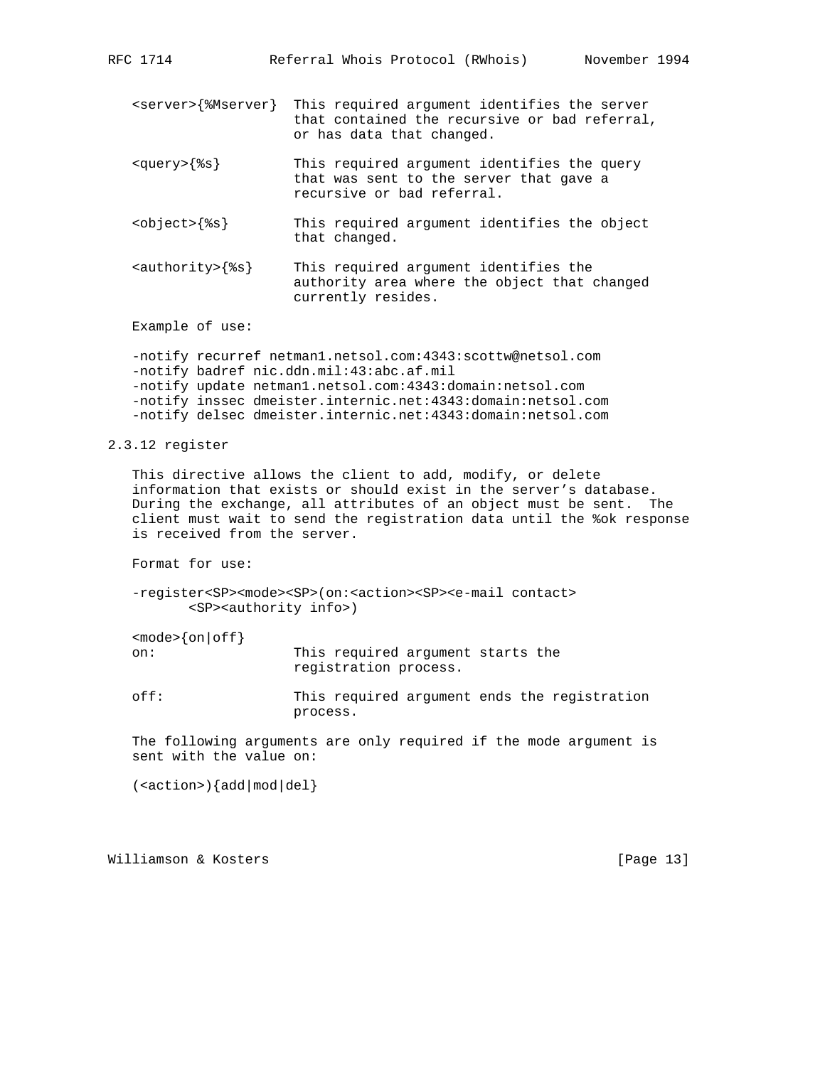- <server>{%Mserver} This required argument identifies the server that contained the recursive or bad referral, or has data that changed.
- <query>{%s} This required argument identifies the query that was sent to the server that gave a recursive or bad referral.
- <object>{%s} This required argument identifies the object that changed.
- <authority>{%s} This required argument identifies the authority area where the object that changed currently resides.

 -notify recurref netman1.netsol.com:4343:scottw@netsol.com -notify badref nic.ddn.mil:43:abc.af.mil -notify update netman1.netsol.com:4343:domain:netsol.com -notify inssec dmeister.internic.net:4343:domain:netsol.com -notify delsec dmeister.internic.net:4343:domain:netsol.com

2.3.12 register

 This directive allows the client to add, modify, or delete information that exists or should exist in the server's database. During the exchange, all attributes of an object must be sent. The client must wait to send the registration data until the %ok response is received from the server.

Format for use:

 -register<SP><mode><SP>(on:<action><SP><e-mail contact> <SP><authority info>)

 $<sub>mode</sub>$ {on|off}</sub>

 on: This required argument starts the registration process.

 off: This required argument ends the registration process.

 The following arguments are only required if the mode argument is sent with the value on:

 $(*actions*)$  {add | mod | del }

Williamson & Kosters [Page 13]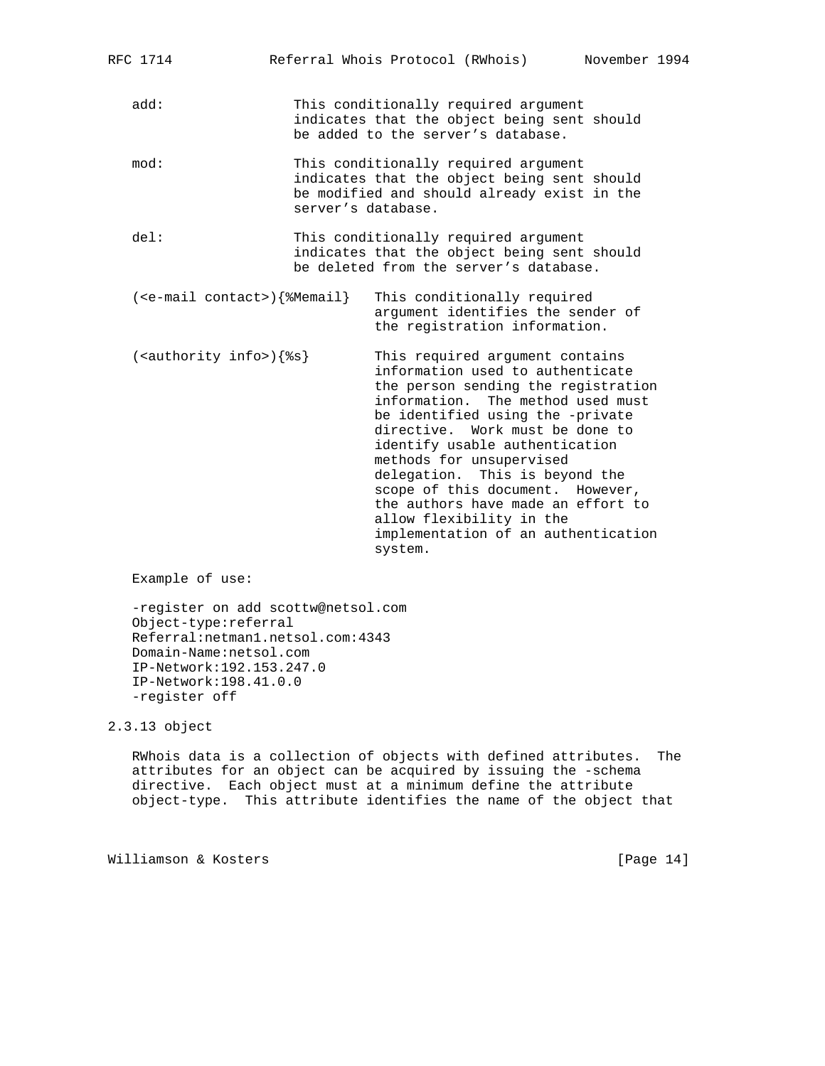| RFC 1714                            | Referral Whois Protocol (RWhois)                                                                                                                                                                                                                                                                                                                                                                                                                                               | November 1994 |
|-------------------------------------|--------------------------------------------------------------------------------------------------------------------------------------------------------------------------------------------------------------------------------------------------------------------------------------------------------------------------------------------------------------------------------------------------------------------------------------------------------------------------------|---------------|
| add:                                | This conditionally required argument<br>indicates that the object being sent should<br>be added to the server's database.                                                                                                                                                                                                                                                                                                                                                      |               |
| mod:                                | This conditionally required argument<br>indicates that the object being sent should<br>be modified and should already exist in the<br>server's database.                                                                                                                                                                                                                                                                                                                       |               |
| del:                                | This conditionally required argument<br>indicates that the object being sent should<br>be deleted from the server's database.                                                                                                                                                                                                                                                                                                                                                  |               |
| $(e-mail contact>)$ { $% M email$ } | This conditionally required<br>argument identifies the sender of<br>the registration information.                                                                                                                                                                                                                                                                                                                                                                              |               |
| $(sauthority info > )$ { $s$ s}     | This required argument contains<br>information used to authenticate<br>the person sending the registration<br>information. The method used must<br>be identified using the -private<br>directive. Work must be done to<br>identify usable authentication<br>methods for unsupervised<br>delegation. This is beyond the<br>scope of this document. However,<br>the authors have made an effort to<br>allow flexibility in the<br>implementation of an authentication<br>system. |               |
| $\blacksquare$                      |                                                                                                                                                                                                                                                                                                                                                                                                                                                                                |               |

 -register on add scottw@netsol.com Object-type:referral Referral:netman1.netsol.com:4343 Domain-Name:netsol.com IP-Network:192.153.247.0 IP-Network:198.41.0.0 -register off

2.3.13 object

 RWhois data is a collection of objects with defined attributes. The attributes for an object can be acquired by issuing the -schema directive. Each object must at a minimum define the attribute object-type. This attribute identifies the name of the object that

Williamson & Kosters [Page 14]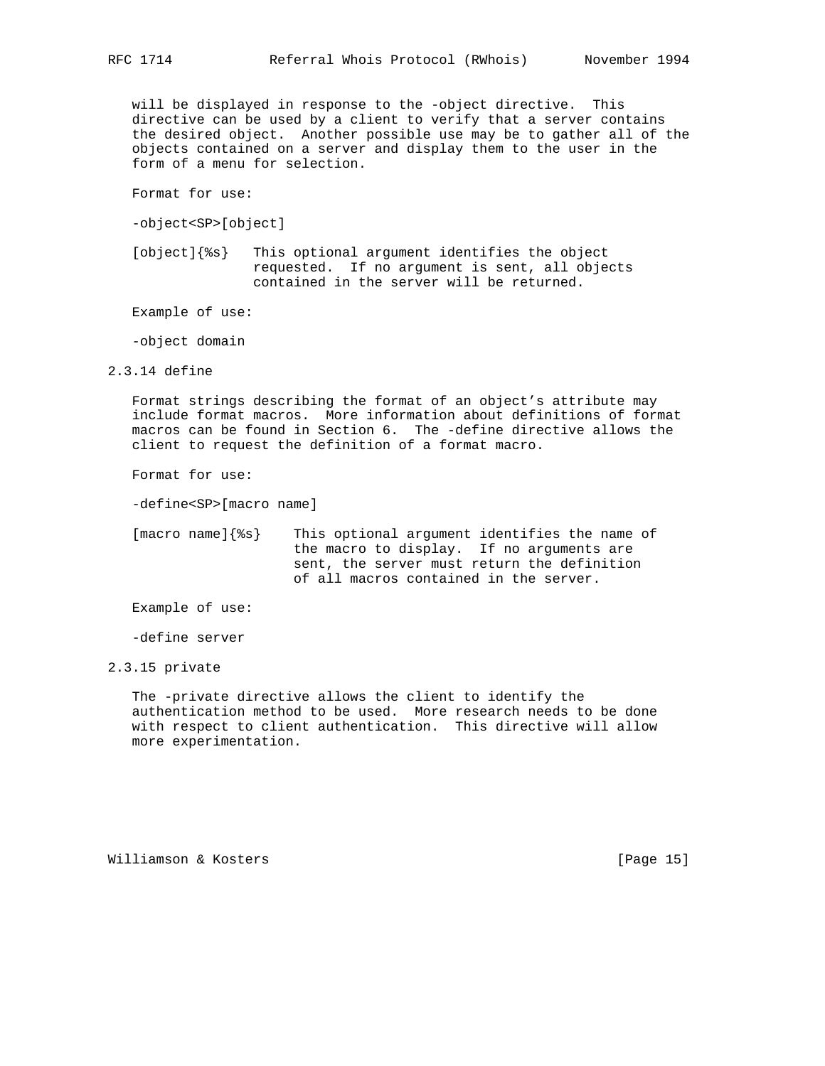will be displayed in response to the -object directive. This directive can be used by a client to verify that a server contains the desired object. Another possible use may be to gather all of the objects contained on a server and display them to the user in the form of a menu for selection.

Format for use:

-object<SP>[object]

 [object]{%s} This optional argument identifies the object requested. If no argument is sent, all objects contained in the server will be returned.

Example of use:

-object domain

2.3.14 define

 Format strings describing the format of an object's attribute may include format macros. More information about definitions of format macros can be found in Section 6. The -define directive allows the client to request the definition of a format macro.

Format for use:

-define<SP>[macro name]

 [macro name]{%s} This optional argument identifies the name of the macro to display. If no arguments are sent, the server must return the definition of all macros contained in the server.

Example of use:

-define server

2.3.15 private

 The -private directive allows the client to identify the authentication method to be used. More research needs to be done with respect to client authentication. This directive will allow more experimentation.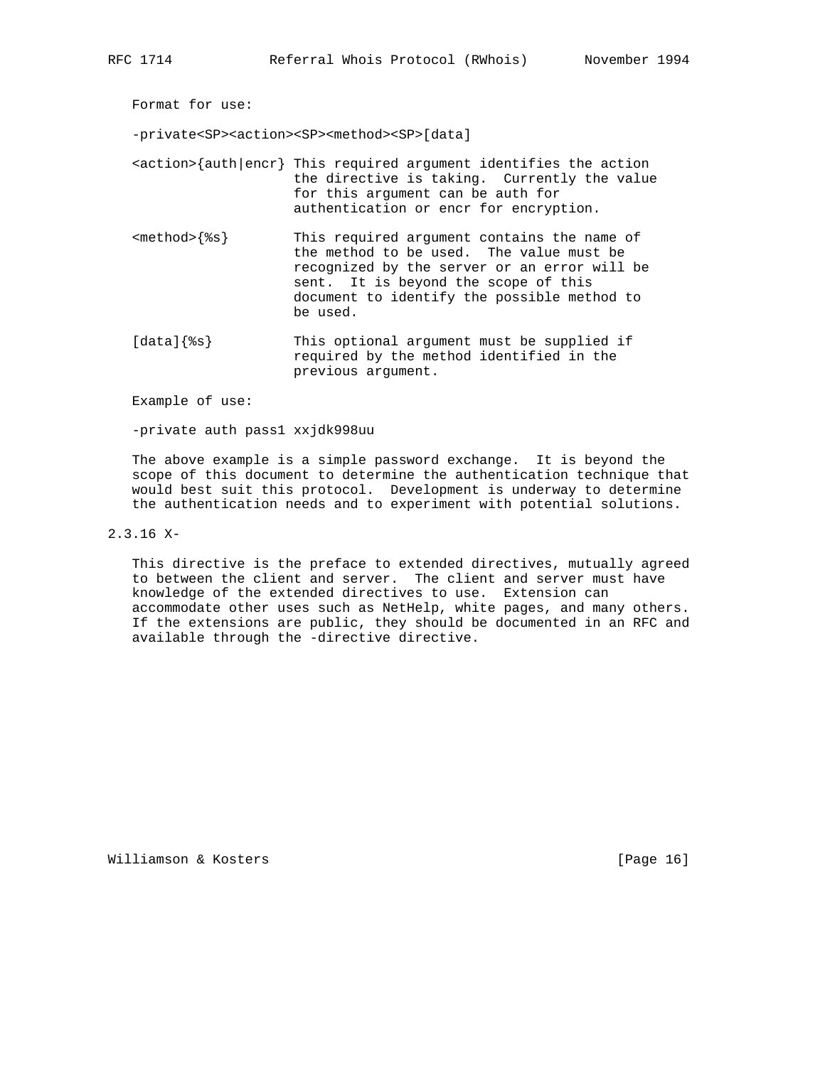Format for use:

-private<SP><action><SP><method><SP>[data]  $\{author\}$  auth  $|encr\}$  This required argument identifies the action the directive is taking. Currently the value for this argument can be auth for authentication or encr for encryption. <method>{%s} This required argument contains the name of the method to be used. The value must be recognized by the server or an error will be sent. It is beyond the scope of this document to identify the possible method to be used.

[data] $\{$ <sup>8</sup>s} This optional argument must be supplied if required by the method identified in the previous argument.

Example of use:

-private auth pass1 xxjdk998uu

 The above example is a simple password exchange. It is beyond the scope of this document to determine the authentication technique that would best suit this protocol. Development is underway to determine the authentication needs and to experiment with potential solutions.

2.3.16 X-

 This directive is the preface to extended directives, mutually agreed to between the client and server. The client and server must have knowledge of the extended directives to use. Extension can accommodate other uses such as NetHelp, white pages, and many others. If the extensions are public, they should be documented in an RFC and available through the -directive directive.

Williamson & Kosters [Page 16]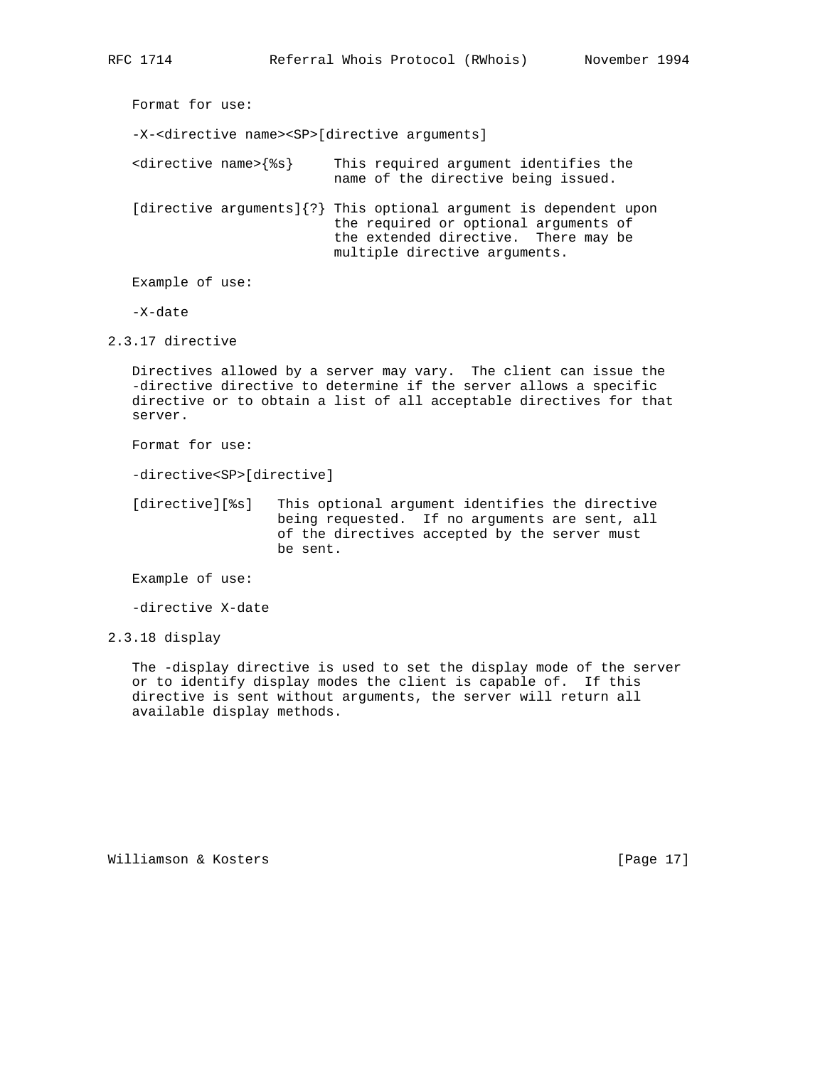Format for use: -X-<directive name><SP>[directive arguments] <directive name>{%s} This required argument identifies the name of the directive being issued. [directive arguments]{?} This optional argument is dependent upon the required or optional arguments of the extended directive. There may be multiple directive arguments. Example of use:

-X-date

2.3.17 directive

 Directives allowed by a server may vary. The client can issue the -directive directive to determine if the server allows a specific directive or to obtain a list of all acceptable directives for that server.

Format for use:

-directive<SP>[directive]

[directive][%s] This optional argument identifies the directive being requested. If no arguments are sent, all of the directives accepted by the server must be sent.

Example of use:

-directive X-date

2.3.18 display

 The -display directive is used to set the display mode of the server or to identify display modes the client is capable of. If this directive is sent without arguments, the server will return all available display methods.

Williamson & Kosters [Page 17]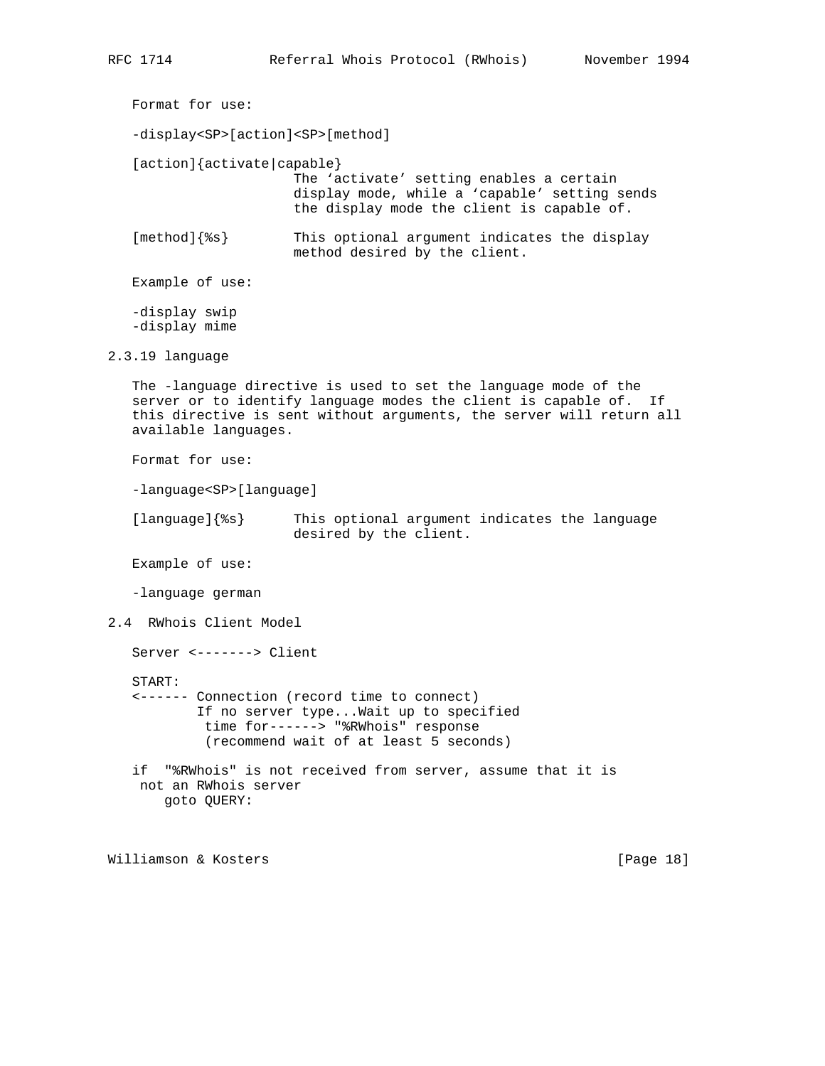```
 Format for use:
   -display<SP>[action]<SP>[method]
   [action]{activate|capable}
                       The 'activate' setting enables a certain
                       display mode, while a 'capable' setting sends
                       the display mode the client is capable of.
   [method]{%s} This optional argument indicates the display
                       method desired by the client.
   Example of use:
   -display swip
   -display mime
2.3.19 language
   The -language directive is used to set the language mode of the
   server or to identify language modes the client is capable of. If
   this directive is sent without arguments, the server will return all
   available languages.
   Format for use:
   -language<SP>[language]
   [language]{%s} This optional argument indicates the language
                       desired by the client.
   Example of use:
   -language german
2.4 RWhois Client Model
   Server <-------> Client
   START:
   <------ Connection (record time to connect)
           If no server type...Wait up to specified
            time for------> "%RWhois" response
            (recommend wait of at least 5 seconds)
   if "%RWhois" is not received from server, assume that it is
    not an RWhois server
       goto QUERY:
Williamson & Kosters [Page 18]
```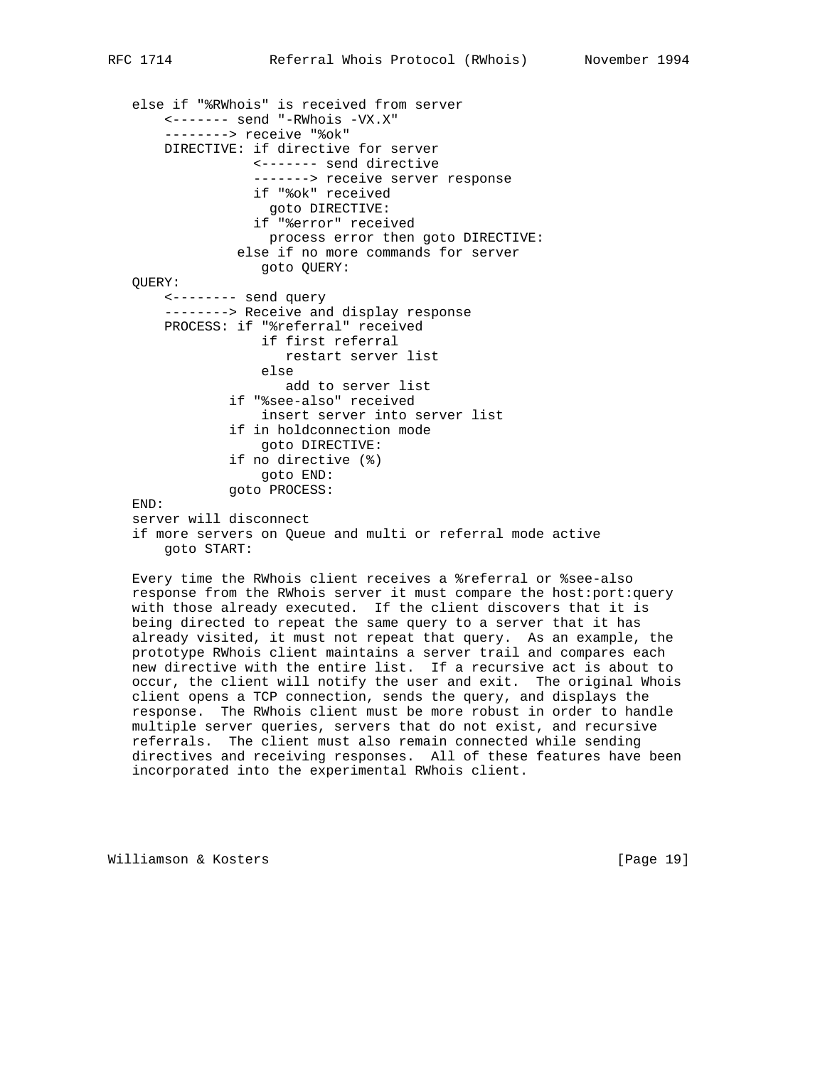```
 else if "%RWhois" is received from server
     <------- send "-RWhois -VX.X"
     --------> receive "%ok"
     DIRECTIVE: if directive for server
                <------- send directive
                -------> receive server response
                if "%ok" received
                  goto DIRECTIVE:
                if "%error" received
                  process error then goto DIRECTIVE:
              else if no more commands for server
                 goto QUERY:
 QUERY:
     <-------- send query
    --------> Receive and display response
     PROCESS: if "%referral" received
                 if first referral
                    restart server list
                 else
                    add to server list
             if "%see-also" received
                  insert server into server list
             if in holdconnection mode
                 goto DIRECTIVE:
             if no directive (%)
                 goto END:
             goto PROCESS:
 END:
 server will disconnect
 if more servers on Queue and multi or referral mode active
     goto START:
```
 Every time the RWhois client receives a %referral or %see-also response from the RWhois server it must compare the host:port:query with those already executed. If the client discovers that it is being directed to repeat the same query to a server that it has already visited, it must not repeat that query. As an example, the prototype RWhois client maintains a server trail and compares each new directive with the entire list. If a recursive act is about to occur, the client will notify the user and exit. The original Whois client opens a TCP connection, sends the query, and displays the response. The RWhois client must be more robust in order to handle multiple server queries, servers that do not exist, and recursive referrals. The client must also remain connected while sending directives and receiving responses. All of these features have been incorporated into the experimental RWhois client.

Williamson & Kosters [Page 19]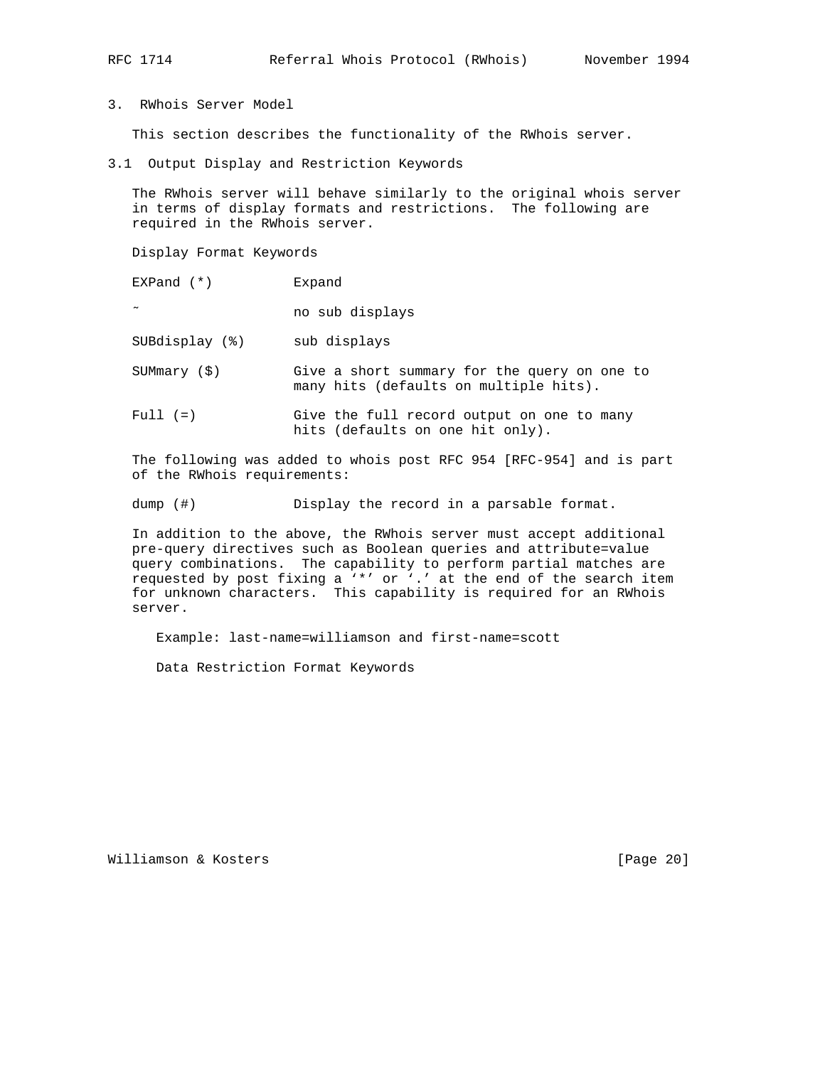3. RWhois Server Model

This section describes the functionality of the RWhois server.

3.1 Output Display and Restriction Keywords

 The RWhois server will behave similarly to the original whois server in terms of display formats and restrictions. The following are required in the RWhois server.

Display Format Keywords

EXPand (\*) Expand

˜ no sub displays

SUBdisplay (%) sub displays

 SUMmary (\$) Give a short summary for the query on one to many hits (defaults on multiple hits).

Full (=) Give the full record output on one to many hits (defaults on one hit only).

 The following was added to whois post RFC 954 [RFC-954] and is part of the RWhois requirements:

dump (#) Display the record in a parsable format.

 In addition to the above, the RWhois server must accept additional pre-query directives such as Boolean queries and attribute=value query combinations. The capability to perform partial matches are requested by post fixing a '\*' or '.' at the end of the search item for unknown characters. This capability is required for an RWhois server.

Example: last-name=williamson and first-name=scott

Data Restriction Format Keywords

Williamson & Kosters [Page 20]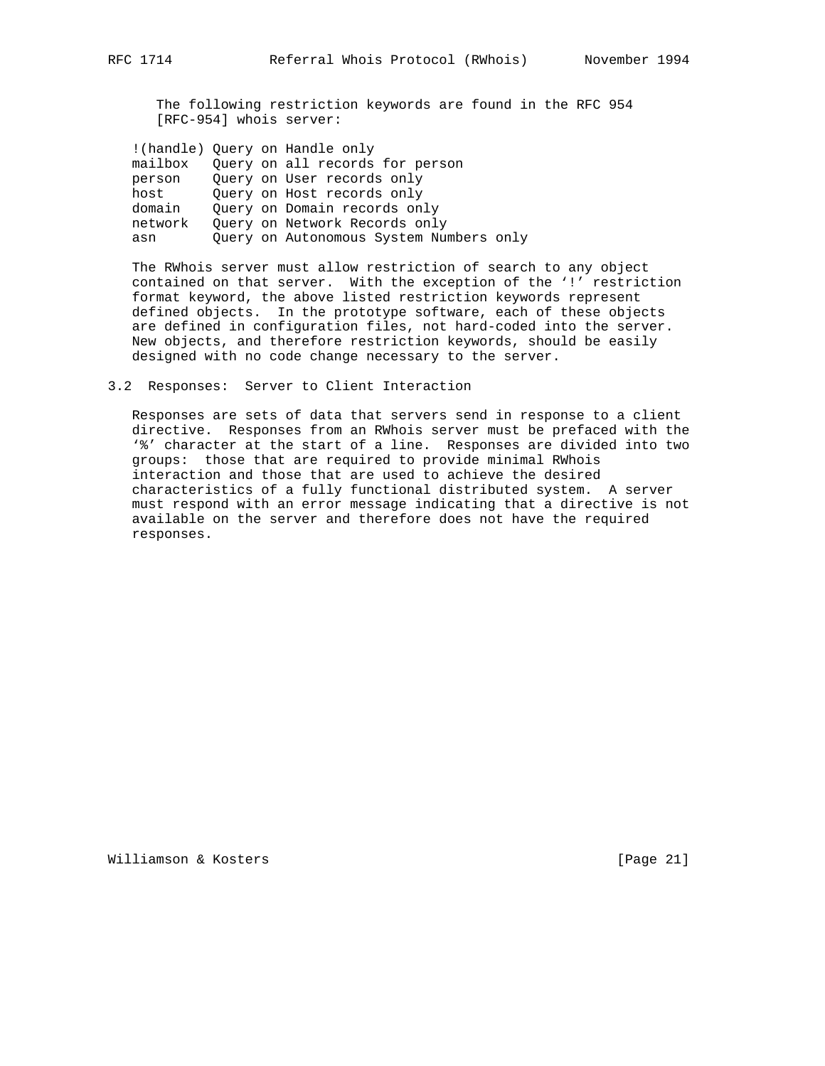The following restriction keywords are found in the RFC 954 [RFC-954] whois server:

| mailbox |  | Query on all records for person         |
|---------|--|-----------------------------------------|
| person  |  | Ouery on User records only              |
| host    |  | Ouery on Host records only              |
| domain  |  | Ouery on Domain records only            |
| network |  | Ouery on Network Records only           |
| asn     |  | Query on Autonomous System Numbers only |
|         |  | (handle) Ouery on Handle only           |

 The RWhois server must allow restriction of search to any object contained on that server. With the exception of the '!' restriction format keyword, the above listed restriction keywords represent defined objects. In the prototype software, each of these objects are defined in configuration files, not hard-coded into the server. New objects, and therefore restriction keywords, should be easily designed with no code change necessary to the server.

#### 3.2 Responses: Server to Client Interaction

 Responses are sets of data that servers send in response to a client directive. Responses from an RWhois server must be prefaced with the '%' character at the start of a line. Responses are divided into two groups: those that are required to provide minimal RWhois interaction and those that are used to achieve the desired characteristics of a fully functional distributed system. A server must respond with an error message indicating that a directive is not available on the server and therefore does not have the required responses.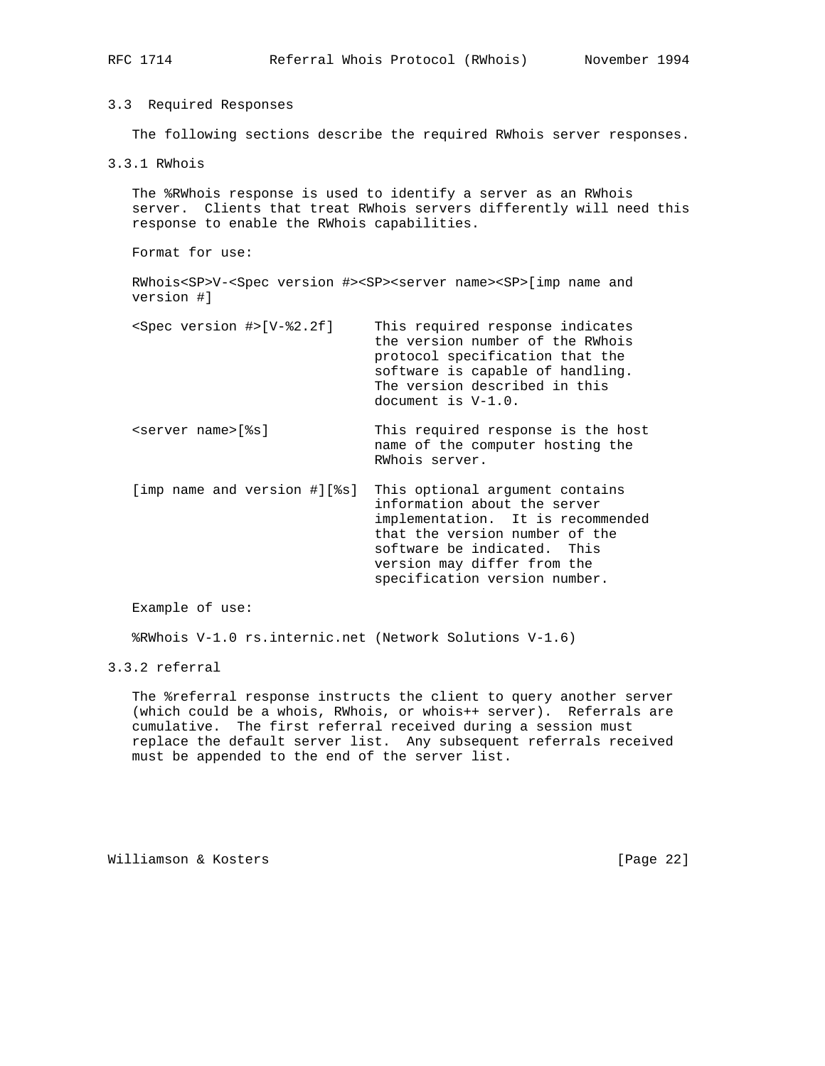| RFC 1714                      |                                                                                                                                                                                       |                    | Referral Whois Protocol (RWhois)                                                                                                                                                                                                      | November 1994 |
|-------------------------------|---------------------------------------------------------------------------------------------------------------------------------------------------------------------------------------|--------------------|---------------------------------------------------------------------------------------------------------------------------------------------------------------------------------------------------------------------------------------|---------------|
| 3.3 Required Responses        |                                                                                                                                                                                       |                    |                                                                                                                                                                                                                                       |               |
|                               | The following sections describe the required RWhois server responses.                                                                                                                 |                    |                                                                                                                                                                                                                                       |               |
| 3.3.1 RWhois                  |                                                                                                                                                                                       |                    |                                                                                                                                                                                                                                       |               |
|                               | The %RWhois response is used to identify a server as an RWhois<br>server. Clients that treat RWhois servers differently will need this<br>response to enable the RWhois capabilities. |                    |                                                                                                                                                                                                                                       |               |
| Format for use:               |                                                                                                                                                                                       |                    |                                                                                                                                                                                                                                       |               |
| version #1                    | RWhois <sp>V-<spec #="" version=""><sp><server name=""><sp>[imp name and</sp></server></sp></spec></sp>                                                                               |                    |                                                                                                                                                                                                                                       |               |
|                               | <spec #="" version="">[V-%2.2f]</spec>                                                                                                                                                | document is V-1.0. | This required response indicates<br>the version number of the RWhois<br>protocol specification that the<br>software is capable of handling.<br>The version described in this                                                          |               |
| <server name="">[%s]</server> |                                                                                                                                                                                       | RWhois server.     | This required response is the host<br>name of the computer hosting the                                                                                                                                                                |               |
|                               | [imp name and version #][%s]                                                                                                                                                          |                    | This optional argument contains<br>information about the server<br>implementation. It is recommended<br>that the version number of the<br>software be indicated. This<br>version may differ from the<br>specification version number. |               |

%RWhois V-1.0 rs.internic.net (Network Solutions V-1.6)

# 3.3.2 referral

 The %referral response instructs the client to query another server (which could be a whois, RWhois, or whois++ server). Referrals are cumulative. The first referral received during a session must replace the default server list. Any subsequent referrals received must be appended to the end of the server list.

Williamson & Kosters [Page 22]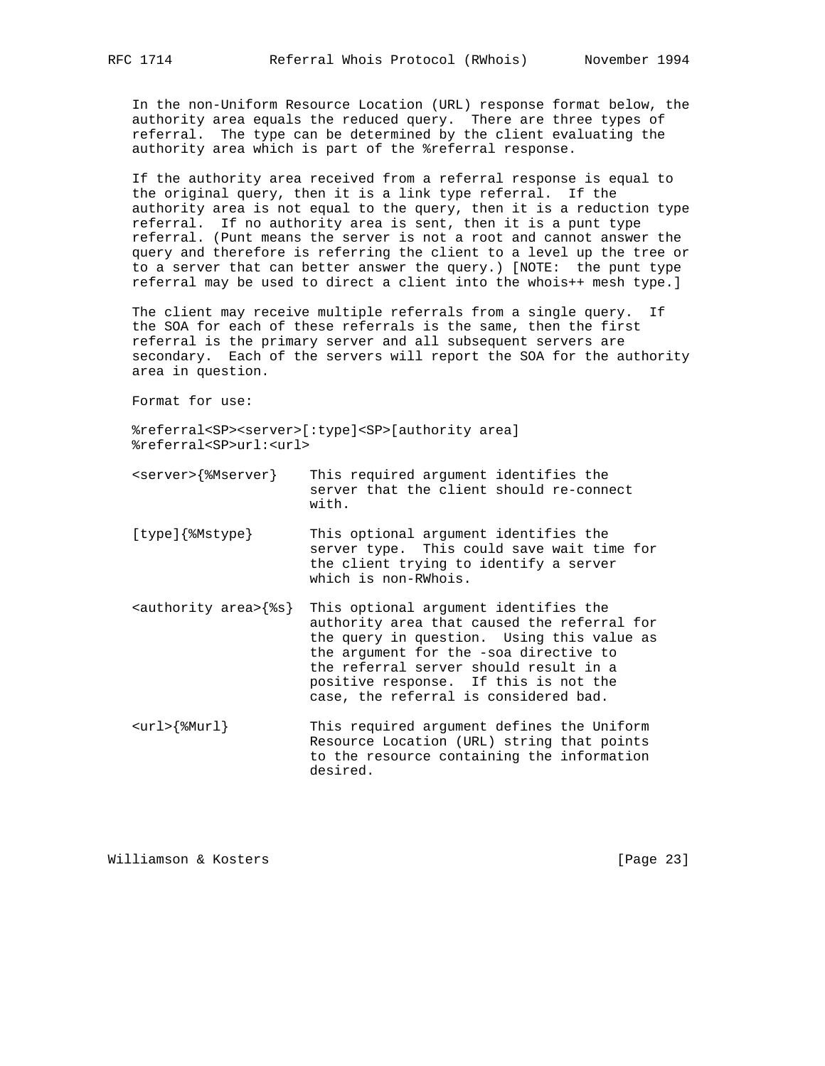In the non-Uniform Resource Location (URL) response format below, the authority area equals the reduced query. There are three types of referral. The type can be determined by the client evaluating the authority area which is part of the %referral response.

 If the authority area received from a referral response is equal to the original query, then it is a link type referral. If the authority area is not equal to the query, then it is a reduction type referral. If no authority area is sent, then it is a punt type referral. (Punt means the server is not a root and cannot answer the query and therefore is referring the client to a level up the tree or to a server that can better answer the query.) [NOTE: the punt type referral may be used to direct a client into the whois++ mesh type.]

 The client may receive multiple referrals from a single query. If the SOA for each of these referrals is the same, then the first referral is the primary server and all subsequent servers are secondary. Each of the servers will report the SOA for the authority area in question.

Format for use:

 %referral<SP><server>[:type]<SP>[authority area] %referral<SP>url:<url>

| <server>{%Mserver}</server> | This required argument identifies the    |
|-----------------------------|------------------------------------------|
|                             | server that the client should re-connect |
|                             | with.                                    |

- [type]{%Mstype} This optional argument identifies the server type. This could save wait time for the client trying to identify a server which is non-RWhois.
- <authority area>{%s} This optional argument identifies the authority area that caused the referral for the query in question. Using this value as the argument for the -soa directive to the referral server should result in a positive response. If this is not the case, the referral is considered bad.
- <url>{%Murl} This required argument defines the Uniform Resource Location (URL) string that points to the resource containing the information desired.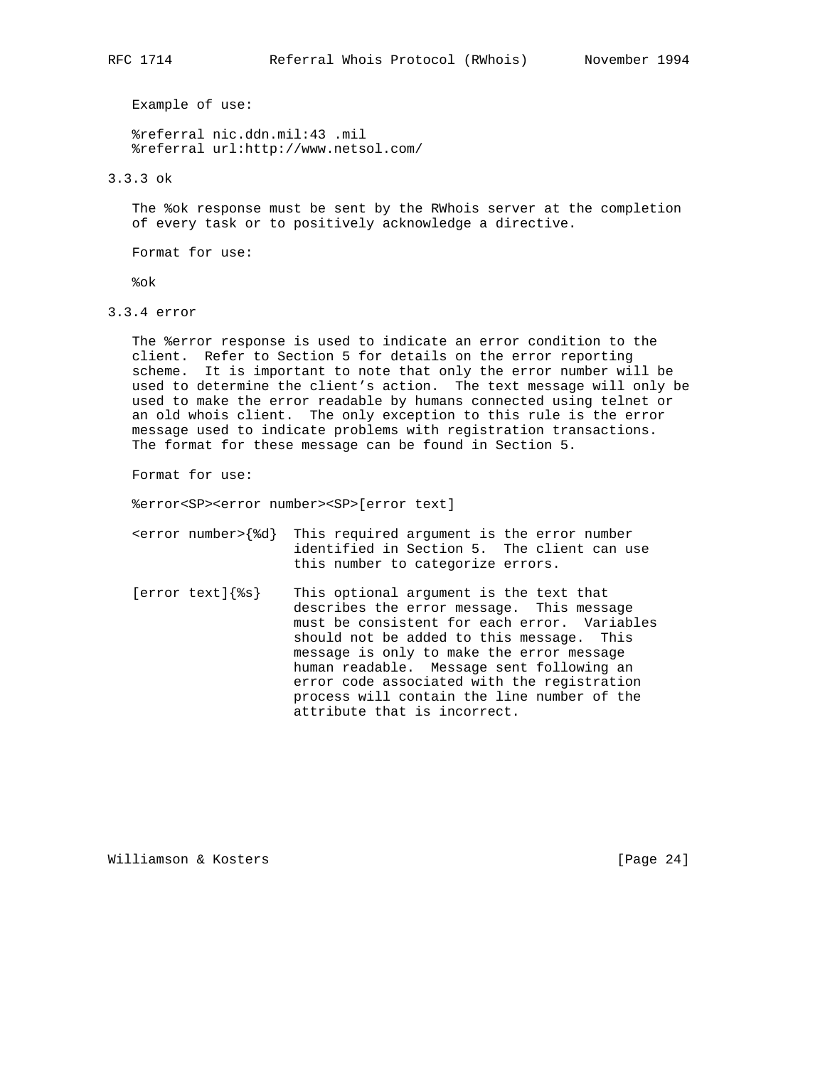%referral nic.ddn.mil:43 .mil %referral url:http://www.netsol.com/

3.3.3 ok

 The %ok response must be sent by the RWhois server at the completion of every task or to positively acknowledge a directive.

Format for use:

%ok

3.3.4 error

 The %error response is used to indicate an error condition to the client. Refer to Section 5 for details on the error reporting scheme. It is important to note that only the error number will be used to determine the client's action. The text message will only be used to make the error readable by humans connected using telnet or an old whois client. The only exception to this rule is the error message used to indicate problems with registration transactions. The format for these message can be found in Section 5.

Format for use:

%error<SP><error number><SP>[error text]

- <error number>{%d} This required argument is the error number identified in Section 5. The client can use this number to categorize errors.
- [error text]{%s} This optional argument is the text that describes the error message. This message must be consistent for each error. Variables should not be added to this message. This message is only to make the error message human readable. Message sent following an error code associated with the registration process will contain the line number of the attribute that is incorrect.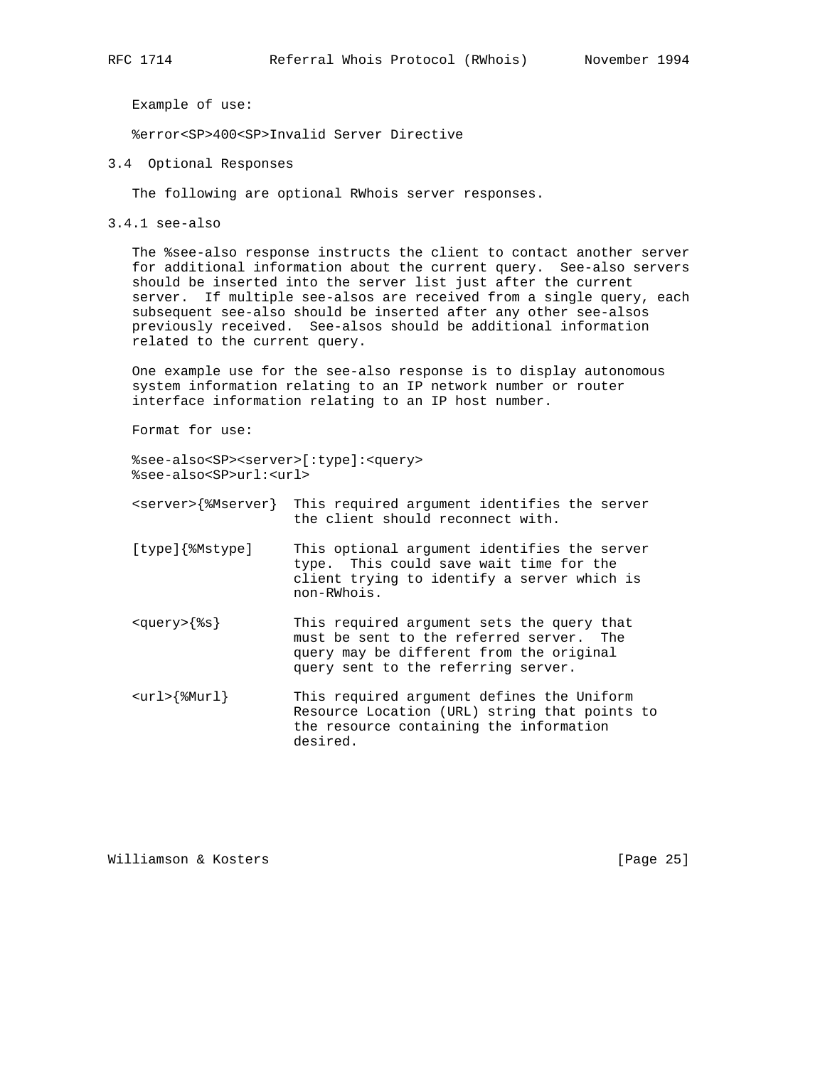%error<SP>400<SP>Invalid Server Directive

3.4 Optional Responses

The following are optional RWhois server responses.

3.4.1 see-also

 The %see-also response instructs the client to contact another server for additional information about the current query. See-also servers should be inserted into the server list just after the current server. If multiple see-alsos are received from a single query, each subsequent see-also should be inserted after any other see-alsos previously received. See-alsos should be additional information related to the current query.

 One example use for the see-also response is to display autonomous system information relating to an IP network number or router interface information relating to an IP host number.

Format for use:

 %see-also<SP><server>[:type]:<query> %see-also<SP>url:<url>

- <server>{%Mserver} This required argument identifies the server the client should reconnect with.
- [type]{%Mstype] This optional argument identifies the server type. This could save wait time for the client trying to identify a server which is non-RWhois.
- <query>{%s} This required argument sets the query that must be sent to the referred server. The query may be different from the original query sent to the referring server.
- <url>{%Murl} This required argument defines the Uniform Resource Location (URL) string that points to the resource containing the information desired.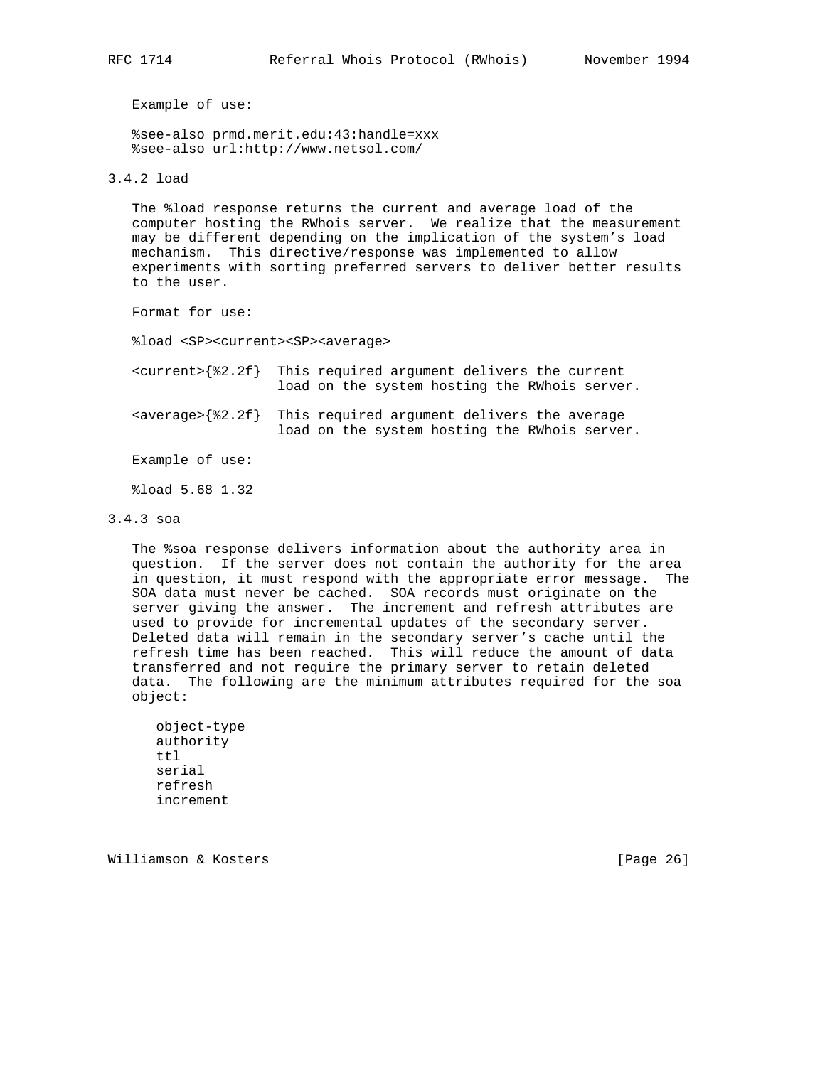%see-also prmd.merit.edu:43:handle=xxx %see-also url:http://www.netsol.com/

3.4.2 load

 The %load response returns the current and average load of the computer hosting the RWhois server. We realize that the measurement may be different depending on the implication of the system's load mechanism. This directive/response was implemented to allow experiments with sorting preferred servers to deliver better results to the user.

Format for use:

%load <SP><current><SP><average>

 <current>{%2.2f} This required argument delivers the current load on the system hosting the RWhois server.  $\langle$  <average> $\{$   $2.2f\}$  This required argument delivers the average load on the system hosting the RWhois server.

Example of use:

%load 5.68 1.32

## 3.4.3 soa

 The %soa response delivers information about the authority area in question. If the server does not contain the authority for the area in question, it must respond with the appropriate error message. The SOA data must never be cached. SOA records must originate on the server giving the answer. The increment and refresh attributes are used to provide for incremental updates of the secondary server. Deleted data will remain in the secondary server's cache until the refresh time has been reached. This will reduce the amount of data transferred and not require the primary server to retain deleted data. The following are the minimum attributes required for the soa object:

```
 object-type
 authority
 ttl
 serial
 refresh
 increment
```
Williamson & Kosters [Page 26]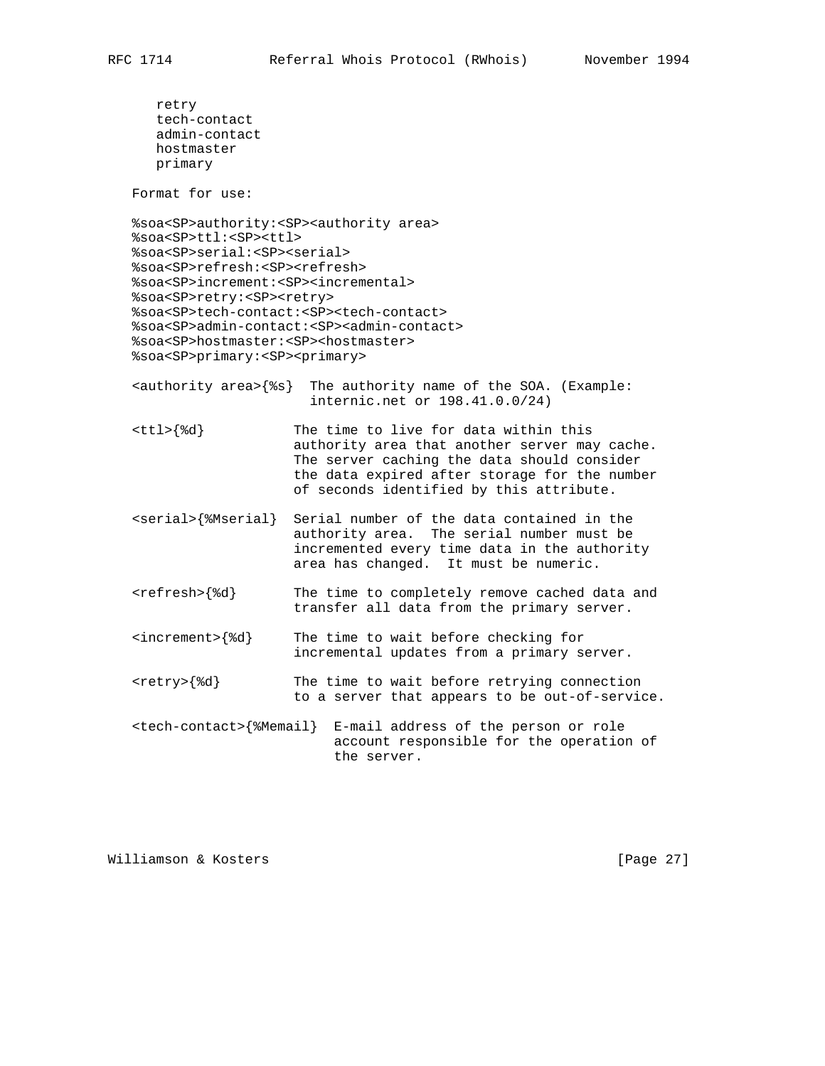```
 retry
    tech-contact
    admin-contact
    hostmaster
   primary
 Format for use:
 %soa<SP>authority:<SP><authority area>
 %soa<SP>ttl:<SP><ttl>
 %soa<SP>serial:<SP><serial>
 %soa<SP>refresh:<SP><refresh>
 %soa<SP>increment:<SP><incremental>
 %soa<SP>retry:<SP><retry>
 %soa<SP>tech-contact:<SP><tech-contact>
 %soa<SP>admin-contact:<SP><admin-contact>
 %soa<SP>hostmaster:<SP><hostmaster>
 %soa<SP>primary:<SP><primary>
\{\text{authority area} \} The authority name of the SOA. (Example:
                       internic.net or 198.41.0.0/24)
 <ttl>{%d} The time to live for data within this
                     authority area that another server may cache.
                     The server caching the data should consider
                     the data expired after storage for the number
                     of seconds identified by this attribute.
 <serial>{%Mserial} Serial number of the data contained in the
                     authority area. The serial number must be
                     incremented every time data in the authority
                     area has changed. It must be numeric.
 <refresh>{%d} The time to completely remove cached data and
                     transfer all data from the primary server.
 <increment>{%d} The time to wait before checking for
                     incremental updates from a primary server.
 <retry>{%d} The time to wait before retrying connection
                     to a server that appears to be out-of-service.
 <tech-contact>{%Memail} E-mail address of the person or role
                          account responsible for the operation of
                          the server.
```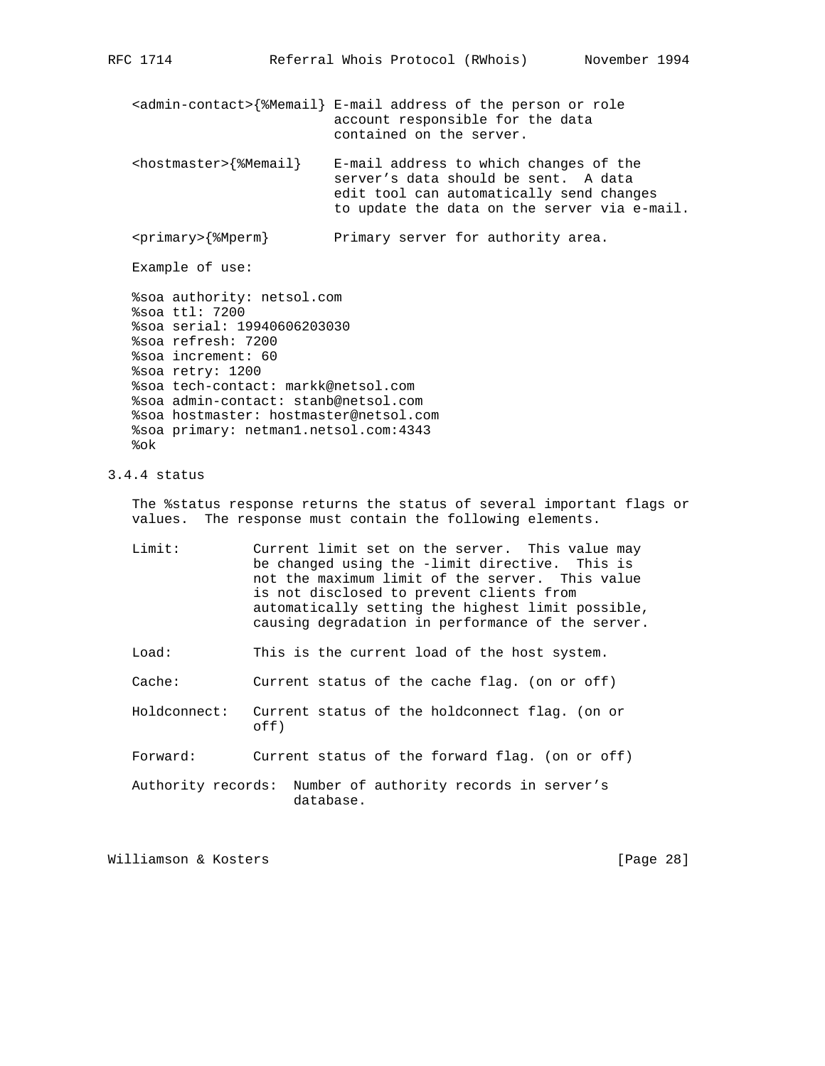<admin-contact>{%Memail} E-mail address of the person or role account responsible for the data contained on the server.  $<$ hostmaster> $\{$ %Memail} E-mail address to which changes of the server's data should be sent. A data edit tool can automatically send changes to update the data on the server via e-mail. <primary>{%Mperm} Primary server for authority area. Example of use: %soa authority: netsol.com

 %soa ttl: 7200 %soa serial: 19940606203030 %soa refresh: 7200 %soa increment: 60 %soa retry: 1200 %soa tech-contact: markk@netsol.com %soa admin-contact: stanb@netsol.com %soa hostmaster: hostmaster@netsol.com %soa primary: netman1.netsol.com:4343 %ok

## 3.4.4 status

 The %status response returns the status of several important flags or values. The response must contain the following elements.

| Limit: | Current limit set on the server. This value may   |
|--------|---------------------------------------------------|
|        | be changed using the -limit directive. This is    |
|        | not the maximum limit of the server. This value   |
|        | is not disclosed to prevent clients from          |
|        | automatically setting the highest limit possible, |
|        | causing degradation in performance of the server. |

Load: This is the current load of the host system.

Cache: Current status of the cache flag. (on or off)

 Holdconnect: Current status of the holdconnect flag. (on or off)

Forward: Current status of the forward flag. (on or off)

 Authority records: Number of authority records in server's database.

Williamson & Kosters [Page 28]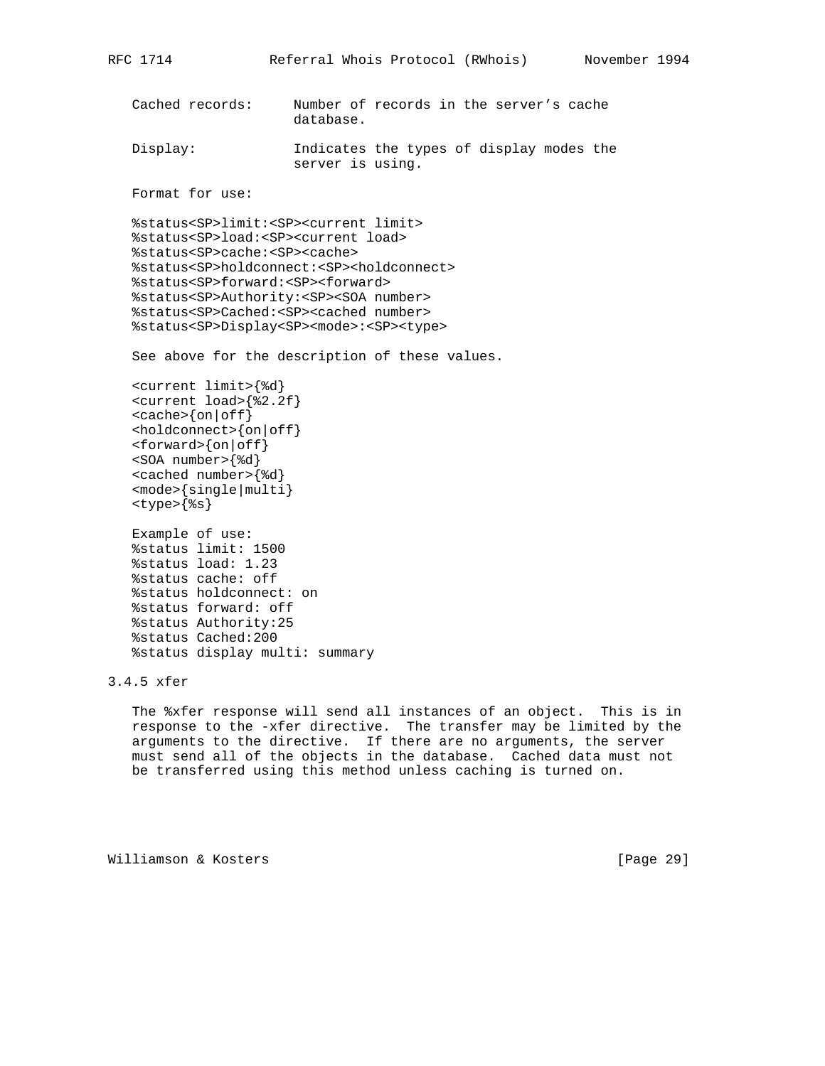```
 Cached records: Number of records in the server's cache
                     database.
 Display: Indicates the types of display modes the
                     server is using.
 Format for use:
 %status<SP>limit:<SP><current limit>
 %status<SP>load:<SP><current load>
 %status<SP>cache:<SP><cache>
 %status<SP>holdconnect:<SP><holdconnect>
 %status<SP>forward:<SP><forward>
 %status<SP>Authority:<SP><SOA number>
 %status<SP>Cached:<SP><cached number>
 %status<SP>Display<SP><mode>:<SP><type>
 See above for the description of these values.
 <current limit>{%d}
 <current load>{%2.2f}
<cache>\{on|off\}\{choldconnect\} {on \{off\}}
 <forward>{on|off}
 <SOA number>{%d}
 <cached number>{%d}
 <mode>{single|multi}
 <type>{%s}
 Example of use:
 %status limit: 1500
 %status load: 1.23
 %status cache: off
 %status holdconnect: on
 %status forward: off
 %status Authority:25
 %status Cached:200
 %status display multi: summary
```
RFC 1714 Referral Whois Protocol (RWhois) November 1994

3.4.5 xfer

 The %xfer response will send all instances of an object. This is in response to the -xfer directive. The transfer may be limited by the arguments to the directive. If there are no arguments, the server must send all of the objects in the database. Cached data must not be transferred using this method unless caching is turned on.

Williamson & Kosters [Page 29]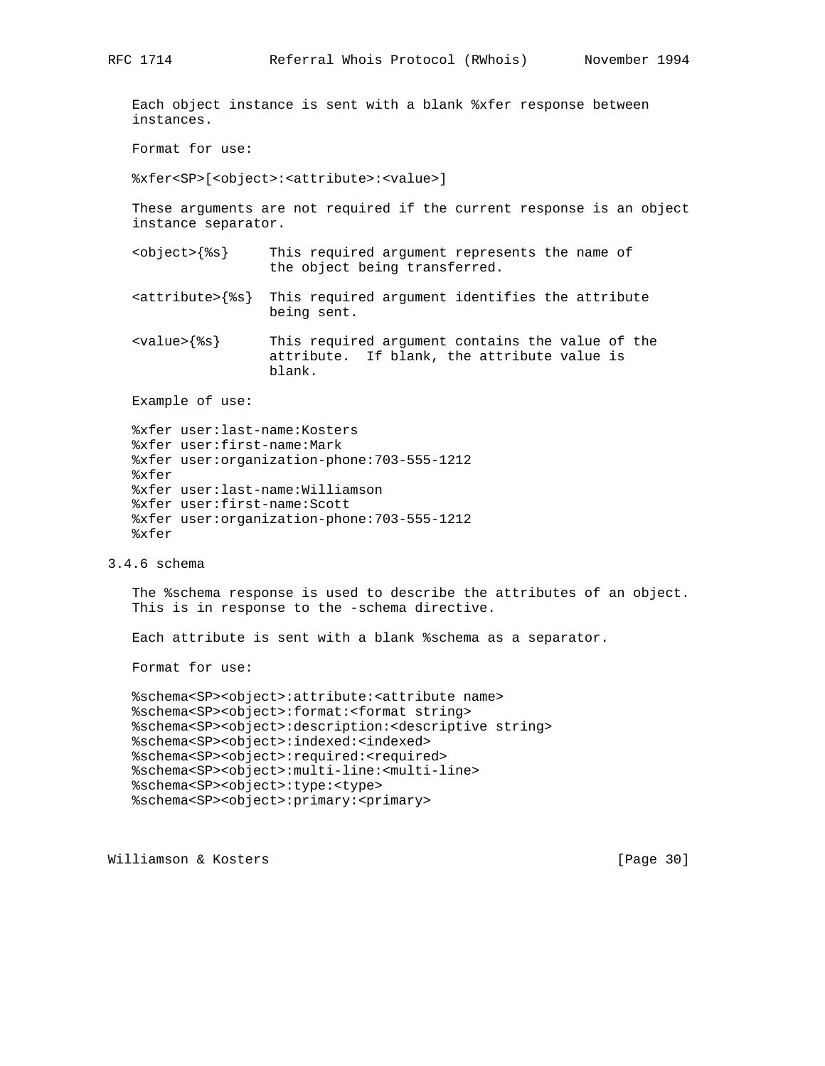Each object instance is sent with a blank %xfer response between instances.

Format for use:

%xfer<SP>[<object>:<attribute>:<value>]

 These arguments are not required if the current response is an object instance separator.

- <object>{%s} This required argument represents the name of the object being transferred.
- <attribute>{%s} This required argument identifies the attribute being sent.

 <value>{%s} This required argument contains the value of the attribute. If blank, the attribute value is blank.

Example of use:

```
 %xfer user:last-name:Kosters
 %xfer user:first-name:Mark
 %xfer user:organization-phone:703-555-1212
 %xfer
 %xfer user:last-name:Williamson
 %xfer user:first-name:Scott
 %xfer user:organization-phone:703-555-1212
 %xfer
```
3.4.6 schema

 The %schema response is used to describe the attributes of an object. This is in response to the -schema directive.

Each attribute is sent with a blank %schema as a separator.

Format for use:

```
 %schema<SP><object>:attribute:<attribute name>
 %schema<SP><object>:format:<format string>
 %schema<SP><object>:description:<descriptive string>
 %schema<SP><object>:indexed:<indexed>
 %schema<SP><object>:required:<required>
 %schema<SP><object>:multi-line:<multi-line>
 %schema<SP><object>:type:<type>
 %schema<SP><object>:primary:<primary>
```
Williamson & Kosters [Page 30]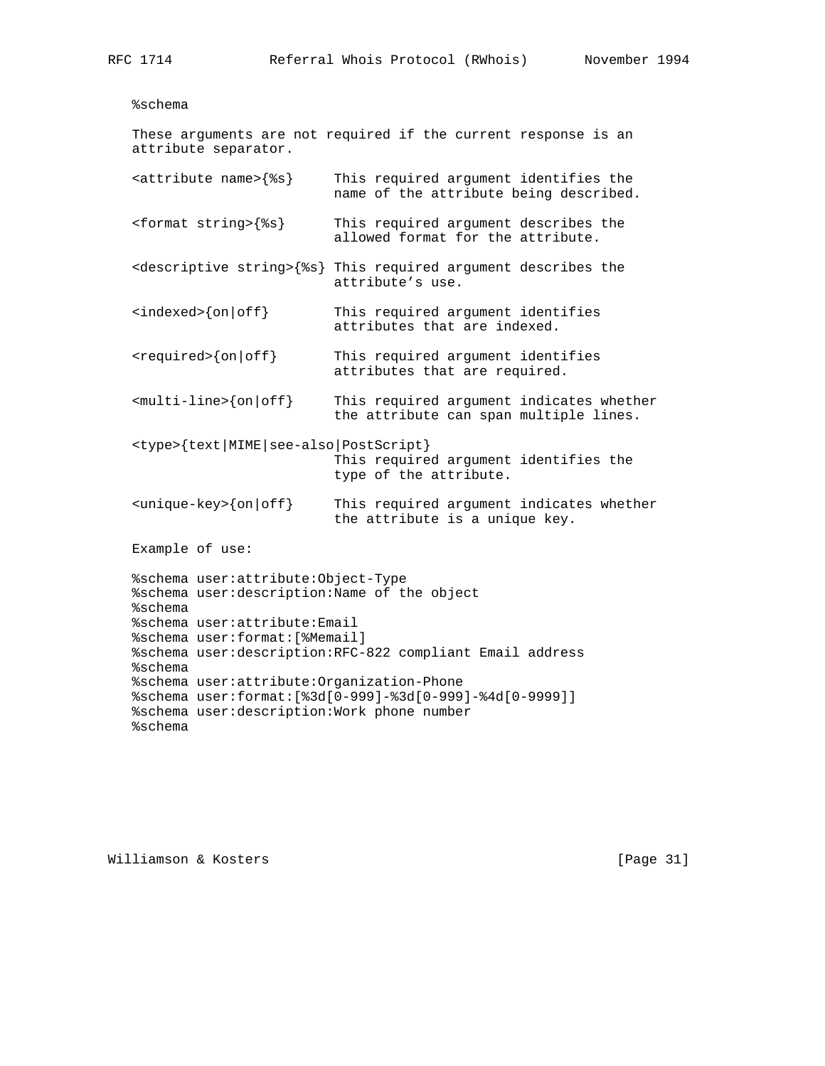```
 %schema
```

```
 These arguments are not required if the current response is an
 attribute separator.
 <attribute name>{%s} This required argument identifies the
                           name of the attribute being described.
 <format string>{%s} This required argument describes the
                           allowed format for the attribute.
 <descriptive string>{%s} This required argument describes the
                           attribute's use.
 <indexed>{on|off} This required argument identifies
                           attributes that are indexed.
<required>{on|off} This required argument identifies
                           attributes that are required.
\{\text{multi-line}\}\{\text{on}\ \text{off}\} This required argument indicates whether
                           the attribute can span multiple lines.
 <type>{text|MIME|see-also|PostScript}
                           This required argument identifies the
                           type of the attribute.
\langle \text{unique-key}\rangle {on | off} This required argument indicates whether
                           the attribute is a unique key.
 Example of use:
 %schema user:attribute:Object-Type
 %schema user:description:Name of the object
 %schema
 %schema user:attribute:Email
 %schema user:format:[%Memail]
 %schema user:description:RFC-822 compliant Email address
 %schema
 %schema user:attribute:Organization-Phone
 %schema user:format:[%3d[0-999]-%3d[0-999]-%4d[0-9999]]
 %schema user:description:Work phone number
```
%schema

Williamson & Kosters [Page 31]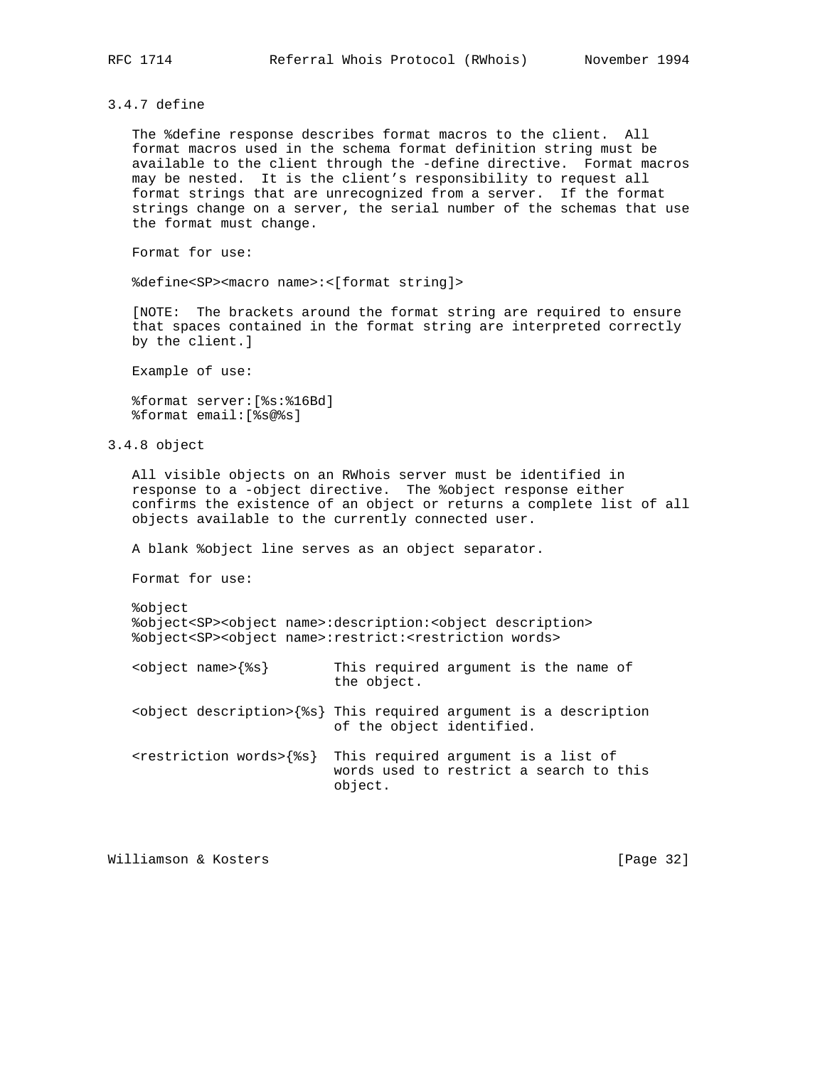3.4.7 define

 The %define response describes format macros to the client. All format macros used in the schema format definition string must be available to the client through the -define directive. Format macros may be nested. It is the client's responsibility to request all format strings that are unrecognized from a server. If the format strings change on a server, the serial number of the schemas that use the format must change.

Format for use:

%define<SP><macro name>:<[format string]>

 [NOTE: The brackets around the format string are required to ensure that spaces contained in the format string are interpreted correctly by the client.]

Example of use:

 %format server:[%s:%16Bd] %format email:[%s@%s]

3.4.8 object

 All visible objects on an RWhois server must be identified in response to a -object directive. The %object response either confirms the existence of an object or returns a complete list of all objects available to the currently connected user.

A blank %object line serves as an object separator.

Format for use:

 %object %object<SP><object name>:description:<object description> %object<SP><object name>:restrict:<restriction words>

| $object name$ $s$                        | the object.               | This required argument is the name of                                          |
|------------------------------------------|---------------------------|--------------------------------------------------------------------------------|
|                                          | of the object identified. | <object description="">{%s} This required argument is a description</object>   |
| <restriction words="">{%s}</restriction> | object.                   | This required argument is a list of<br>words used to restrict a search to this |

Williamson & Kosters [Page 32]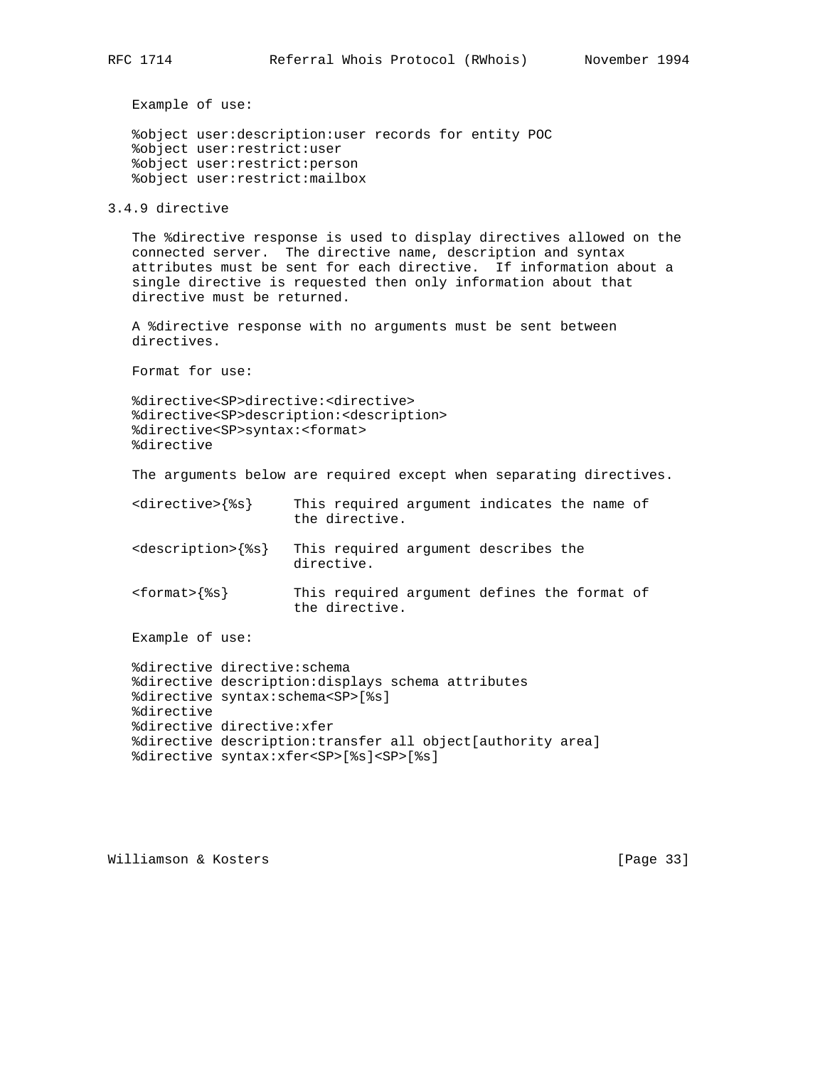%object user:description:user records for entity POC %object user:restrict:user %object user:restrict:person %object user:restrict:mailbox

3.4.9 directive

 The %directive response is used to display directives allowed on the connected server. The directive name, description and syntax attributes must be sent for each directive. If information about a single directive is requested then only information about that directive must be returned.

 A %directive response with no arguments must be sent between directives.

Format for use:

 %directive<SP>directive:<directive> %directive<SP>description:<description> %directive<SP>syntax:<format> %directive

The arguments below are required except when separating directives.

- <directive>{%s} This required argument indicates the name of the directive.
- <description>{%s} This required argument describes the directive.
- <format>{%s} This required argument defines the format of the directive.

Example of use:

```
 %directive directive:schema
 %directive description:displays schema attributes
 %directive syntax:schema<SP>[%s]
 %directive
 %directive directive:xfer
 %directive description:transfer all object[authority area]
 %directive syntax:xfer<SP>[%s]<SP>[%s]
```
Williamson & Kosters [Page 33]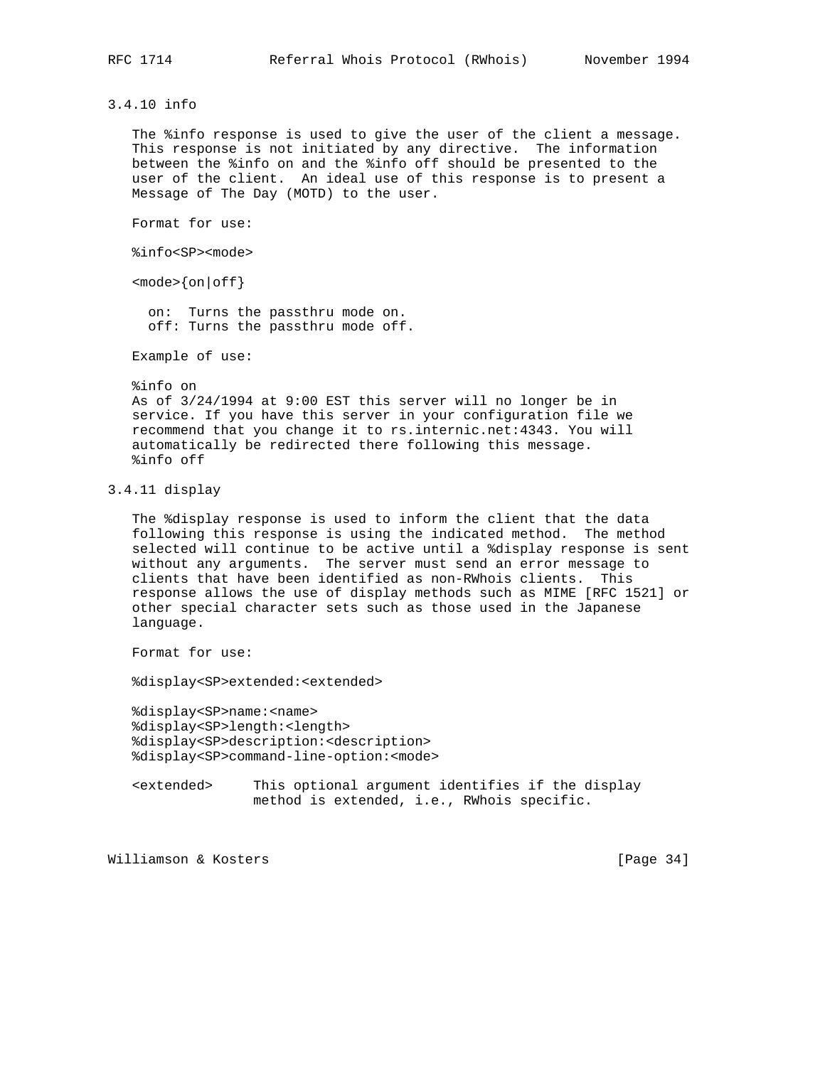3.4.10 info

 The %info response is used to give the user of the client a message. This response is not initiated by any directive. The information between the %info on and the %info off should be presented to the user of the client. An ideal use of this response is to present a Message of The Day (MOTD) to the user.

Format for use:

%info<SP><mode>

 $<sub>mode</sub>$  {on | of f }</sub>

 on: Turns the passthru mode on. off: Turns the passthru mode off.

Example of use:

 %info on As of 3/24/1994 at 9:00 EST this server will no longer be in service. If you have this server in your configuration file we recommend that you change it to rs.internic.net:4343. You will automatically be redirected there following this message. %info off

## 3.4.11 display

 The %display response is used to inform the client that the data following this response is using the indicated method. The method selected will continue to be active until a %display response is sent without any arguments. The server must send an error message to clients that have been identified as non-RWhois clients. This response allows the use of display methods such as MIME [RFC 1521] or other special character sets such as those used in the Japanese language.

Format for use:

%display<SP>extended:<extended>

 %display<SP>name:<name> %display<SP>length:<length> %display<SP>description:<description> %display<SP>command-line-option:<mode>

 <extended> This optional argument identifies if the display method is extended, i.e., RWhois specific.

Williamson & Kosters [Page 34]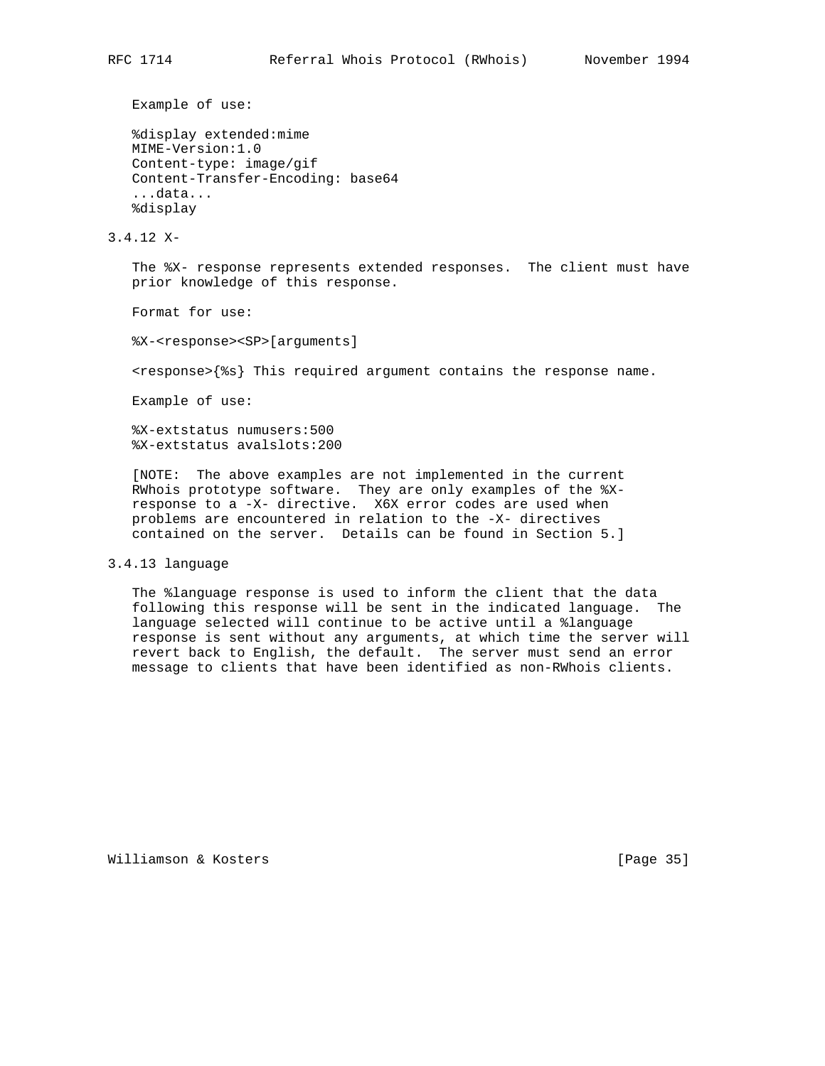```
 %display extended:mime
 MIME-Version:1.0
 Content-type: image/gif
 Content-Transfer-Encoding: base64
 ...data...
 %display
```
3.4.12 X-

 The %X- response represents extended responses. The client must have prior knowledge of this response.

Format for use:

%X-<response><SP>[arguments]

<response>{%s} This required argument contains the response name.

Example of use:

 %X-extstatus numusers:500 %X-extstatus avalslots:200

 [NOTE: The above examples are not implemented in the current RWhois prototype software. They are only examples of the %X response to a -X- directive. X6X error codes are used when problems are encountered in relation to the -X- directives contained on the server. Details can be found in Section 5.]

## 3.4.13 language

 The %language response is used to inform the client that the data following this response will be sent in the indicated language. The language selected will continue to be active until a %language response is sent without any arguments, at which time the server will revert back to English, the default. The server must send an error message to clients that have been identified as non-RWhois clients.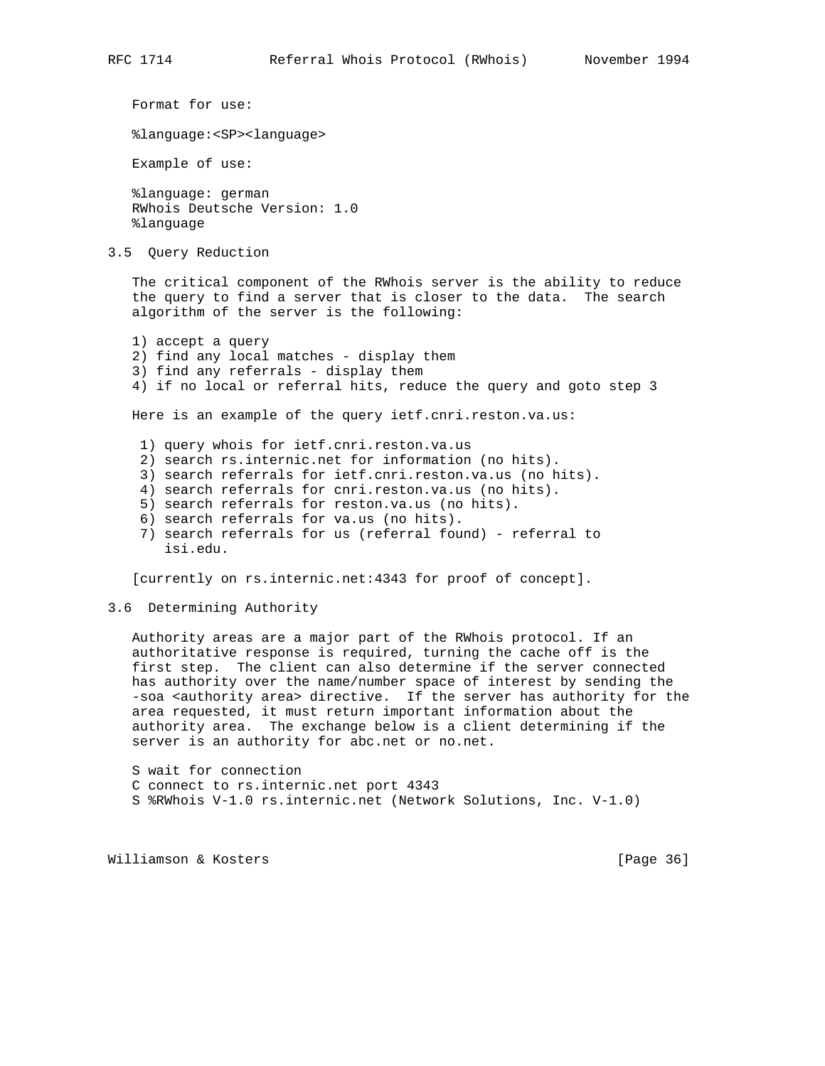Format for use: %language:<SP><language> Example of use: %language: german RWhois Deutsche Version: 1.0 %language 3.5 Query Reduction The critical component of the RWhois server is the ability to reduce the query to find a server that is closer to the data. The search algorithm of the server is the following:

 1) accept a query 2) find any local matches - display them 3) find any referrals - display them 4) if no local or referral hits, reduce the query and goto step 3 Here is an example of the query ietf.cnri.reston.va.us: 1) query whois for ietf.cnri.reston.va.us 2) search rs.internic.net for information (no hits). 3) search referrals for ietf.cnri.reston.va.us (no hits). 4) search referrals for cnri.reston.va.us (no hits). 5) search referrals for reston.va.us (no hits). 6) search referrals for va.us (no hits).

 7) search referrals for us (referral found) - referral to isi.edu.

[currently on rs.internic.net:4343 for proof of concept].

#### 3.6 Determining Authority

 Authority areas are a major part of the RWhois protocol. If an authoritative response is required, turning the cache off is the first step. The client can also determine if the server connected has authority over the name/number space of interest by sending the -soa <authority area> directive. If the server has authority for the area requested, it must return important information about the authority area. The exchange below is a client determining if the server is an authority for abc.net or no.net.

 S wait for connection C connect to rs.internic.net port 4343 S %RWhois V-1.0 rs.internic.net (Network Solutions, Inc. V-1.0)

Williamson & Kosters [Page 36]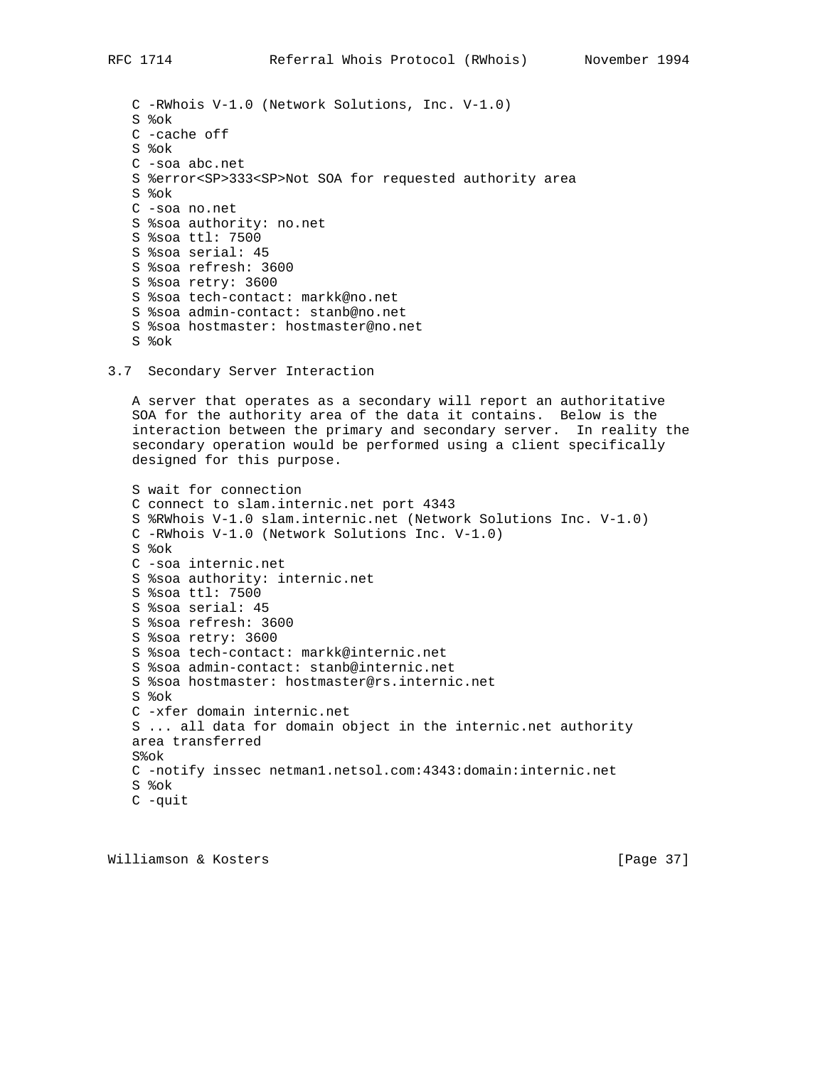C -RWhois V-1.0 (Network Solutions, Inc. V-1.0) S %ok C -cache off S %ok C -soa abc.net S %error<SP>333<SP>Not SOA for requested authority area S %ok C -soa no.net S %soa authority: no.net S %soa ttl: 7500 S %soa serial: 45 S %soa refresh: 3600 S %soa retry: 3600 S %soa tech-contact: markk@no.net S %soa admin-contact: stanb@no.net S %soa hostmaster: hostmaster@no.net S %ok

3.7 Secondary Server Interaction

 A server that operates as a secondary will report an authoritative SOA for the authority area of the data it contains. Below is the interaction between the primary and secondary server. In reality the secondary operation would be performed using a client specifically designed for this purpose.

 S wait for connection C connect to slam.internic.net port 4343 S %RWhois V-1.0 slam.internic.net (Network Solutions Inc. V-1.0) C -RWhois V-1.0 (Network Solutions Inc. V-1.0) S %ok C -soa internic.net S %soa authority: internic.net S %soa ttl: 7500 S %soa serial: 45 S %soa refresh: 3600 S %soa retry: 3600 S %soa tech-contact: markk@internic.net S %soa admin-contact: stanb@internic.net S %soa hostmaster: hostmaster@rs.internic.net S %ok C -xfer domain internic.net S ... all data for domain object in the internic.net authority area transferred S%ok C -notify inssec netman1.netsol.com:4343:domain:internic.net S %ok C -quit

Williamson & Kosters [Page 37]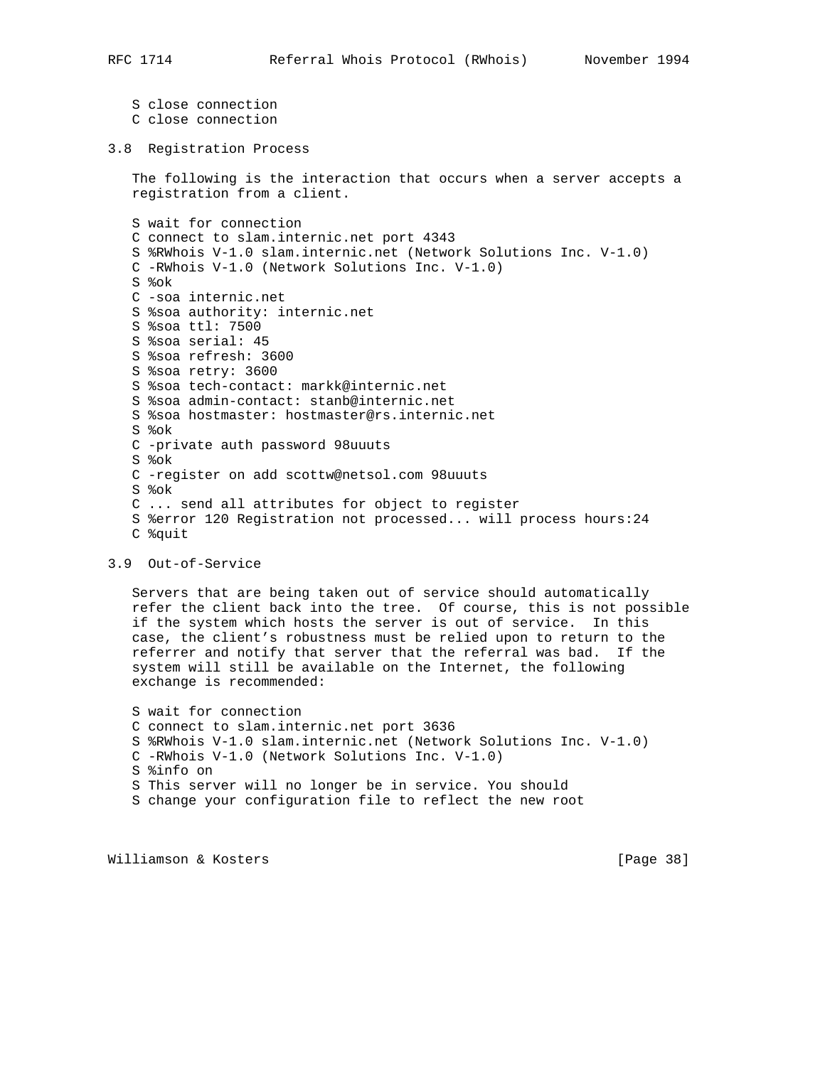```
 S close connection
 C close connection
```
## 3.8 Registration Process

 The following is the interaction that occurs when a server accepts a registration from a client.

 S wait for connection C connect to slam.internic.net port 4343 S %RWhois V-1.0 slam.internic.net (Network Solutions Inc. V-1.0) C -RWhois V-1.0 (Network Solutions Inc. V-1.0) S %ok C -soa internic.net S %soa authority: internic.net S %soa ttl: 7500 S %soa serial: 45 S %soa refresh: 3600 S %soa retry: 3600 S %soa tech-contact: markk@internic.net S %soa admin-contact: stanb@internic.net S %soa hostmaster: hostmaster@rs.internic.net S %ok C -private auth password 98uuuts S %ok C -register on add scottw@netsol.com 98uuuts S %ok C ... send all attributes for object to register S %error 120 Registration not processed... will process hours:24 C %quit

### 3.9 Out-of-Service

 Servers that are being taken out of service should automatically refer the client back into the tree. Of course, this is not possible if the system which hosts the server is out of service. In this case, the client's robustness must be relied upon to return to the referrer and notify that server that the referral was bad. If the system will still be available on the Internet, the following exchange is recommended:

 S wait for connection C connect to slam.internic.net port 3636 S %RWhois V-1.0 slam.internic.net (Network Solutions Inc. V-1.0) C -RWhois V-1.0 (Network Solutions Inc. V-1.0) S %info on S This server will no longer be in service. You should S change your configuration file to reflect the new root

Williamson & Kosters [Page 38]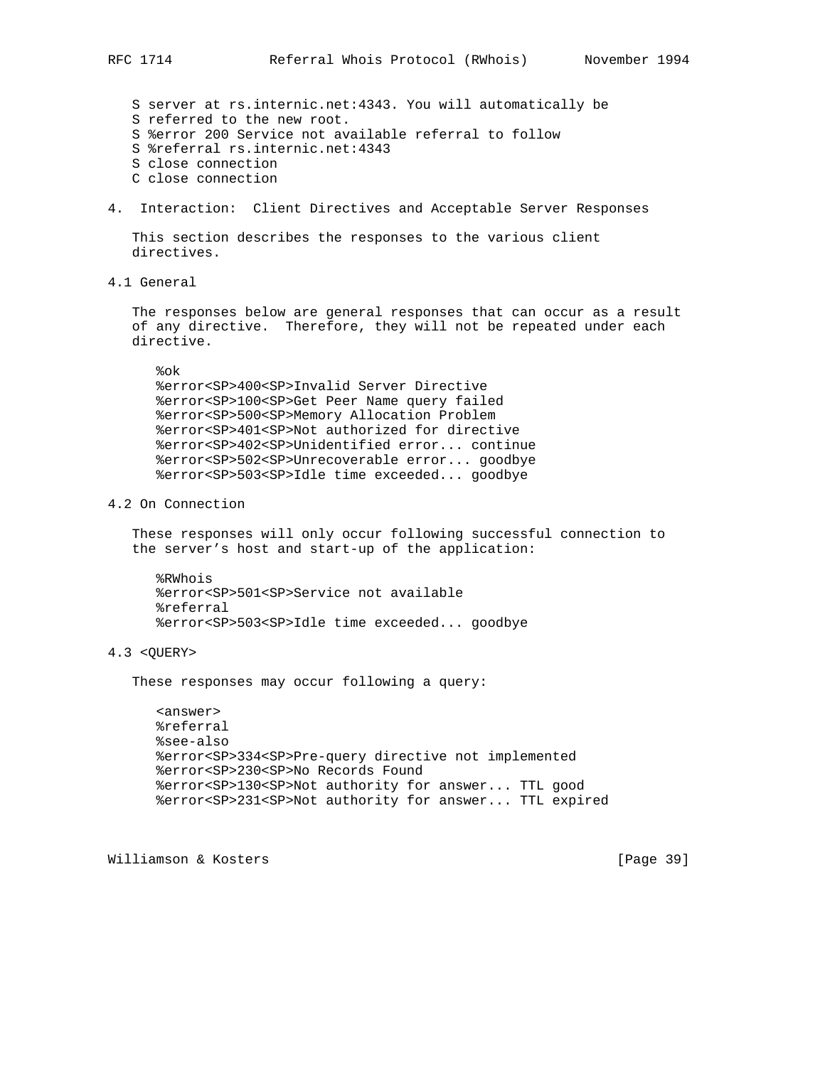S server at rs.internic.net:4343. You will automatically be S referred to the new root. S %error 200 Service not available referral to follow S %referral rs.internic.net:4343 S close connection C close connection

4. Interaction: Client Directives and Acceptable Server Responses

 This section describes the responses to the various client directives.

4.1 General

 The responses below are general responses that can occur as a result of any directive. Therefore, they will not be repeated under each directive.

#### %ok

 %error<SP>400<SP>Invalid Server Directive %error<SP>100<SP>Get Peer Name query failed %error<SP>500<SP>Memory Allocation Problem %error<SP>401<SP>Not authorized for directive %error<SP>402<SP>Unidentified error... continue %error<SP>502<SP>Unrecoverable error... goodbye %error<SP>503<SP>Idle time exceeded... goodbye

4.2 On Connection

 These responses will only occur following successful connection to the server's host and start-up of the application:

 %RWhois %error<SP>501<SP>Service not available %referral %error<SP>503<SP>Idle time exceeded... goodbye

#### 4.3 <QUERY>

These responses may occur following a query:

 <answer> %referral %see-also %error<SP>334<SP>Pre-query directive not implemented %error<SP>230<SP>No Records Found %error<SP>130<SP>Not authority for answer... TTL good %error<SP>231<SP>Not authority for answer... TTL expired

Williamson & Kosters [Page 39]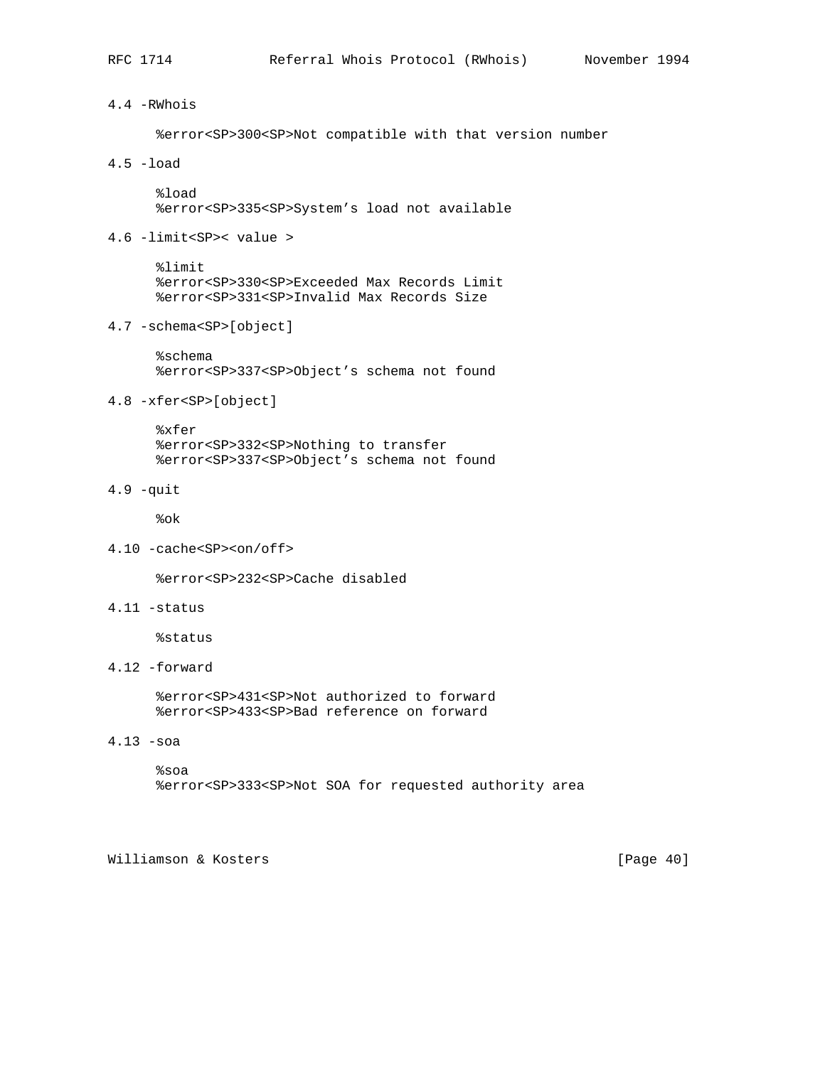## 4.4 -RWhois

%error<SP>300<SP>Not compatible with that version number

## 4.5 -load

 %load %error<SP>335<SP>System's load not available

4.6 -limit<SP>< value >

 %limit %error<SP>330<SP>Exceeded Max Records Limit %error<SP>331<SP>Invalid Max Records Size

4.7 -schema<SP>[object]

 %schema %error<SP>337<SP>Object's schema not found

## 4.8 -xfer<SP>[object]

 %xfer %error<SP>332<SP>Nothing to transfer %error<SP>337<SP>Object's schema not found

# 4.9 -quit

%ok

4.10 -cache<SP><on/off>

%error<SP>232<SP>Cache disabled

4.11 -status

%status

4.12 -forward

 %error<SP>431<SP>Not authorized to forward %error<SP>433<SP>Bad reference on forward

4.13 -soa

 %soa %error<SP>333<SP>Not SOA for requested authority area

Williamson & Kosters [Page 40]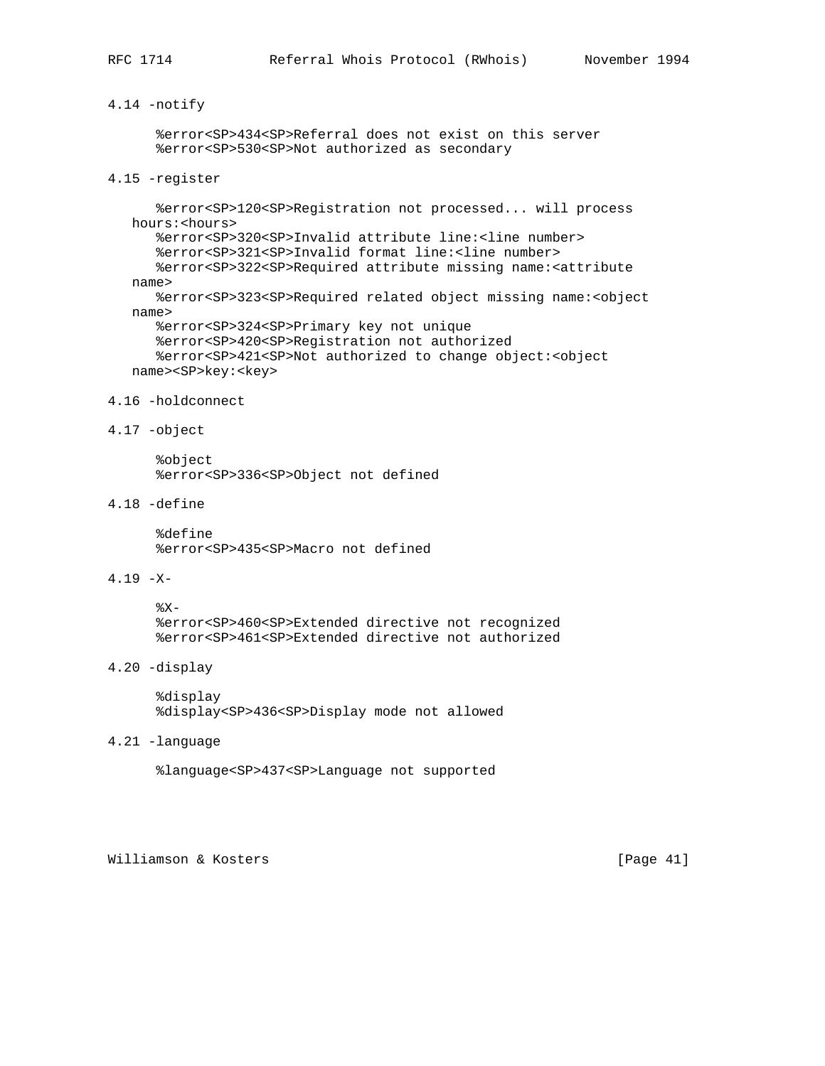## 4.14 -notify

 %error<SP>434<SP>Referral does not exist on this server %error<SP>530<SP>Not authorized as secondary

## 4.15 -register

 %error<SP>120<SP>Registration not processed... will process hours:<hours> %error<SP>320<SP>Invalid attribute line:<line number> %error<SP>321<SP>Invalid format line:<line number> %error<SP>322<SP>Required attribute missing name:<attribute name> %error<SP>323<SP>Required related object missing name:<object name> %error<SP>324<SP>Primary key not unique %error<SP>420<SP>Registration not authorized %error<SP>421<SP>Not authorized to change object:<object name><SP>key:<key>

#### 4.16 -holdconnect

4.17 -object

 %object %error<SP>336<SP>Object not defined

4.18 -define

 %define %error<SP>435<SP>Macro not defined

4.19 -X-

 $8X-$  %error<SP>460<SP>Extended directive not recognized %error<SP>461<SP>Extended directive not authorized

4.20 -display

 %display %display<SP>436<SP>Display mode not allowed

4.21 -language

%language<SP>437<SP>Language not supported

Williamson & Kosters [Page 41]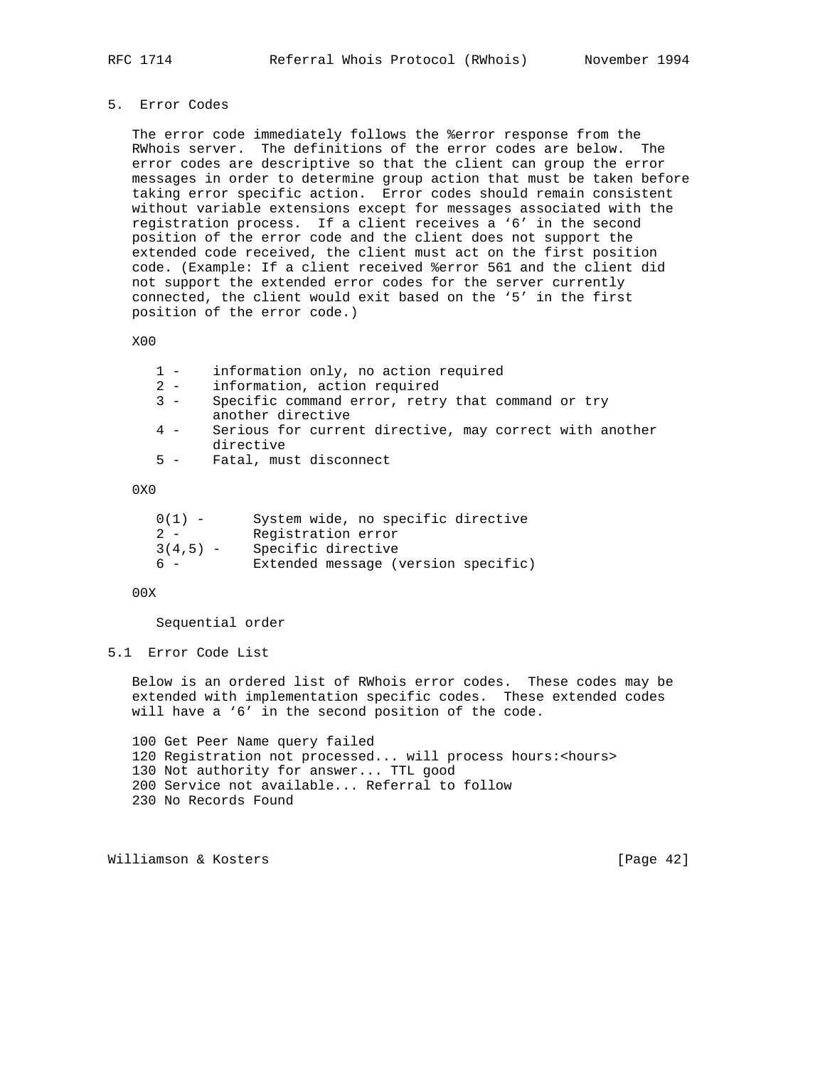## 5. Error Codes

 The error code immediately follows the %error response from the RWhois server. The definitions of the error codes are below. The error codes are descriptive so that the client can group the error messages in order to determine group action that must be taken before taking error specific action. Error codes should remain consistent without variable extensions except for messages associated with the registration process. If a client receives a '6' in the second position of the error code and the client does not support the extended code received, the client must act on the first position code. (Example: If a client received %error 561 and the client did not support the extended error codes for the server currently connected, the client would exit based on the '5' in the first position of the error code.)

X00

| information only, no action required |  |  |
|--------------------------------------|--|--|
|--------------------------------------|--|--|

- 2 information, action required
- 3 Specific command error, retry that command or try another directive
- 4 Serious for current directive, may correct with another directive
- 5 Fatal, must disconnect

#### 0X0

| $0(1) -$   | System wide, no specific directive  |
|------------|-------------------------------------|
| $2 -$      | Registration error                  |
| $3(4.5) -$ | Specific directive                  |
| $6 -$      | Extended message (version specific) |

## 00X

Sequential order

#### 5.1 Error Code List

 Below is an ordered list of RWhois error codes. These codes may be extended with implementation specific codes. These extended codes will have a '6' in the second position of the code.

 100 Get Peer Name query failed 120 Registration not processed... will process hours:<hours> 130 Not authority for answer... TTL good 200 Service not available... Referral to follow 230 No Records Found

Williamson & Kosters [Page 42]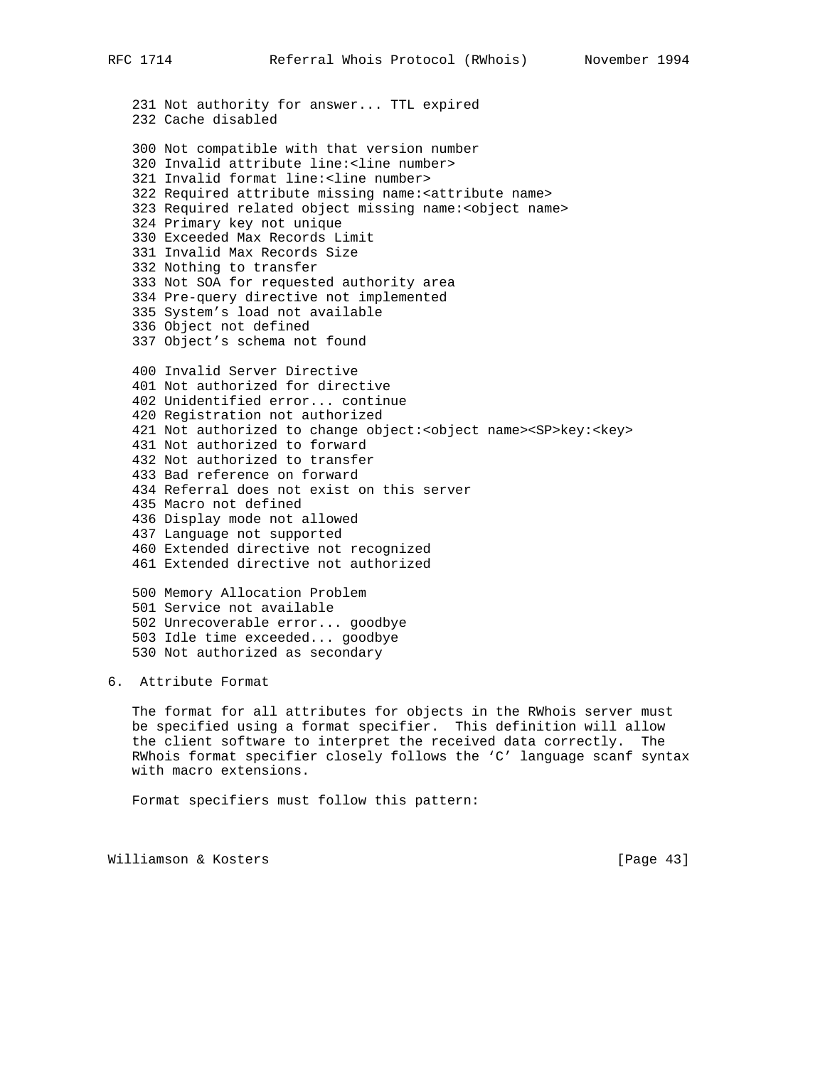231 Not authority for answer... TTL expired 232 Cache disabled 300 Not compatible with that version number 320 Invalid attribute line:<line number> 321 Invalid format line:<line number> 322 Required attribute missing name:<attribute name> 323 Required related object missing name:<object name> 324 Primary key not unique 330 Exceeded Max Records Limit 331 Invalid Max Records Size 332 Nothing to transfer 333 Not SOA for requested authority area 334 Pre-query directive not implemented 335 System's load not available 336 Object not defined 337 Object's schema not found 400 Invalid Server Directive 401 Not authorized for directive 402 Unidentified error... continue 420 Registration not authorized 421 Not authorized to change object:<object name><SP>key:<key> 431 Not authorized to forward 432 Not authorized to transfer 433 Bad reference on forward 434 Referral does not exist on this server 435 Macro not defined 436 Display mode not allowed 437 Language not supported 460 Extended directive not recognized 461 Extended directive not authorized 500 Memory Allocation Problem 501 Service not available 502 Unrecoverable error... goodbye 503 Idle time exceeded... goodbye 530 Not authorized as secondary

## 6. Attribute Format

 The format for all attributes for objects in the RWhois server must be specified using a format specifier. This definition will allow the client software to interpret the received data correctly. The RWhois format specifier closely follows the 'C' language scanf syntax with macro extensions.

Format specifiers must follow this pattern:

Williamson & Kosters [Page 43]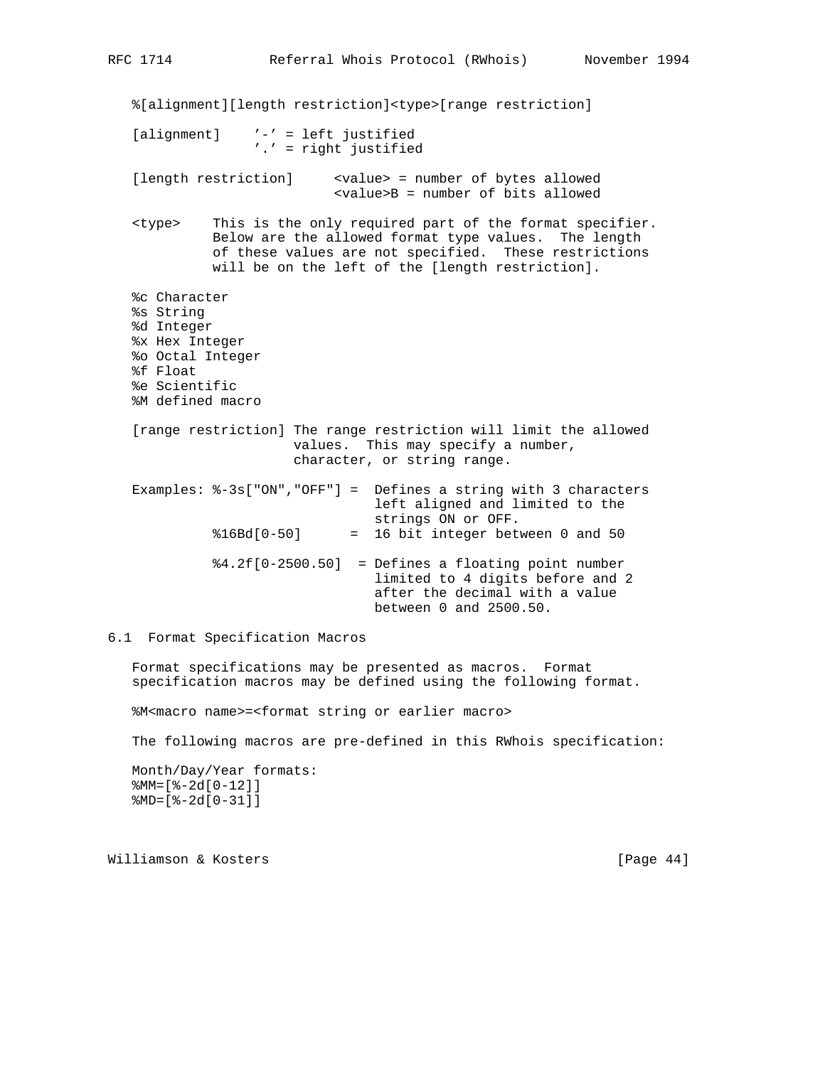%[alignment][length restriction]<type>[range restriction] [alignment] '-' = left justified '.' = right justified [length restriction] <value> = number of bytes allowed <value>B = number of bits allowed <type> This is the only required part of the format specifier. Below are the allowed format type values. The length of these values are not specified. These restrictions will be on the left of the [length restriction]. %c Character %s String %d Integer %x Hex Integer %o Octal Integer %f Float %e Scientific %M defined macro [range restriction] The range restriction will limit the allowed values. This may specify a number, character, or string range. Examples: %-3s["ON","OFF"] = Defines a string with 3 characters left aligned and limited to the strings ON or OFF.  $\$16Bd[0-50]$  = 16 bit integer between 0 and 50 %4.2f[0-2500.50] = Defines a floating point number limited to 4 digits before and 2 after the decimal with a value between 0 and 2500.50.

6.1 Format Specification Macros

 Format specifications may be presented as macros. Format specification macros may be defined using the following format.

%M<macro name>=<format string or earlier macro>

The following macros are pre-defined in this RWhois specification:

```
 Month/Day/Year formats:
 %MM=[%-2d[0-12]]
 %MD=[%-2d[0-31]]
```
Williamson & Kosters [Page 44]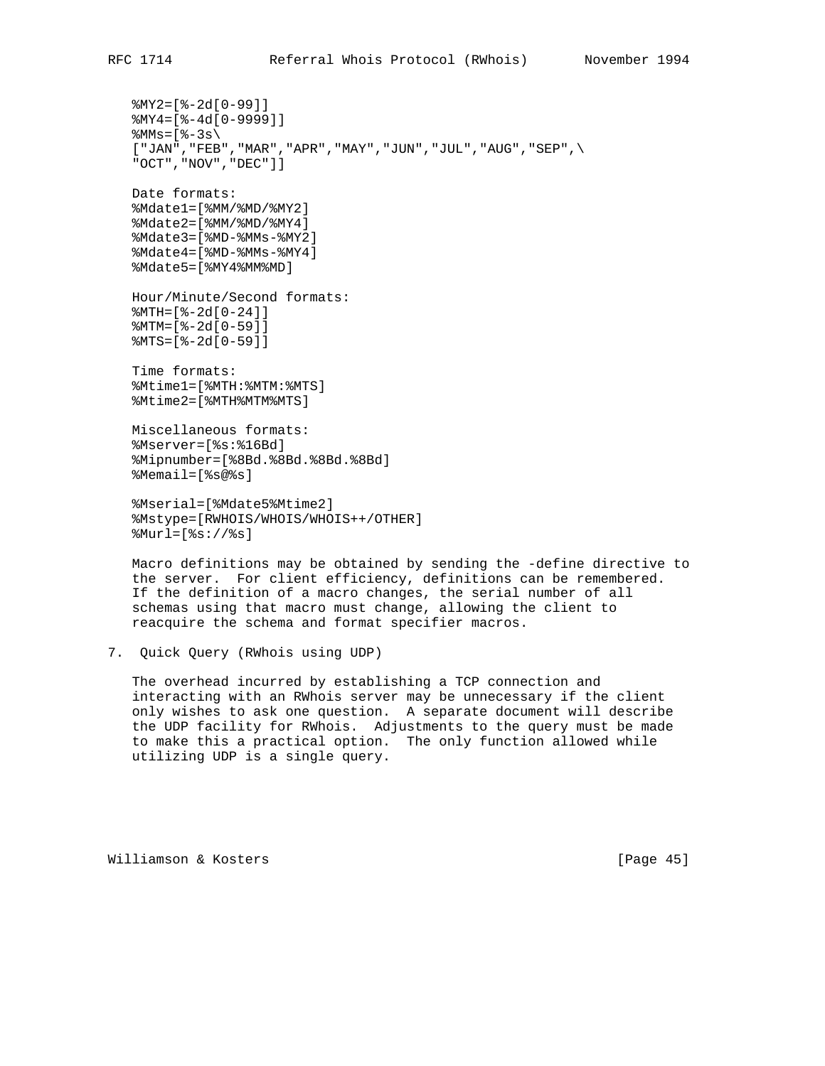```
 %MY2=[%-2d[0-99]]
 %MY4=[%-4d[0-9999]]
%MN = [ -3s[ "JAN", "FEB", "MAR", "APR", "MAY", "JUN", "JUL", "AUG", "SEP", \setminus "OCT","NOV","DEC"]]
 Date formats:
 %Mdate1=[%MM/%MD/%MY2]
 %Mdate2=[%MM/%MD/%MY4]
 %Mdate3=[%MD-%MMs-%MY2]
 %Mdate4=[%MD-%MMs-%MY4]
 %Mdate5=[%MY4%MM%MD]
 Hour/Minute/Second formats:
 %MTH=[%-2d[0-24]]
 %MTM=[%-2d[0-59]]
 %MTS=[%-2d[0-59]]
 Time formats:
 %Mtime1=[%MTH:%MTM:%MTS]
 %Mtime2=[%MTH%MTM%MTS]
 Miscellaneous formats:
 %Mserver=[%s:%16Bd]
```
 %Mipnumber=[%8Bd.%8Bd.%8Bd.%8Bd] %Memail=[%s@%s]

 %Mserial=[%Mdate5%Mtime2] %Mstype=[RWHOIS/WHOIS/WHOIS++/OTHER] %Murl=[%s://%s]

 Macro definitions may be obtained by sending the -define directive to the server. For client efficiency, definitions can be remembered. If the definition of a macro changes, the serial number of all schemas using that macro must change, allowing the client to reacquire the schema and format specifier macros.

```
7. Quick Query (RWhois using UDP)
```
 The overhead incurred by establishing a TCP connection and interacting with an RWhois server may be unnecessary if the client only wishes to ask one question. A separate document will describe the UDP facility for RWhois. Adjustments to the query must be made to make this a practical option. The only function allowed while utilizing UDP is a single query.

Williamson & Kosters [Page 45]